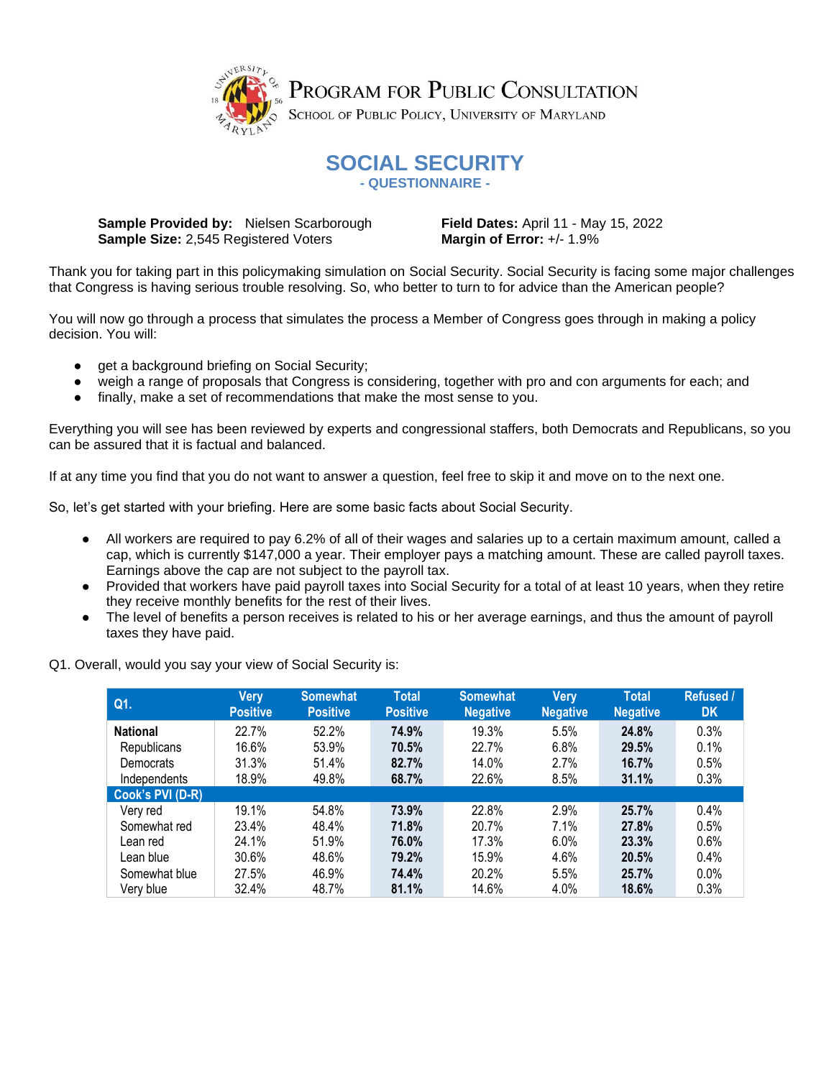

# **SOCIAL SECURITY - QUESTIONNAIRE -**

**Sample Provided by:** Nielsen Scarborough **Field Dates:** April 11 - May 15, 2022 **Sample Size:** 2,545 Registered Voters **Margin of Error:** +/-1.9%

**DK**

Thank you for taking part in this policymaking simulation on Social Security. Social Security is facing some major challenges that Congress is having serious trouble resolving. So, who better to turn to for advice than the American people?

You will now go through a process that simulates the process a Member of Congress goes through in making a policy decision. You will:

- get a background briefing on Social Security;
- weigh a range of proposals that Congress is considering, together with pro and con arguments for each; and
- finally, make a set of recommendations that make the most sense to you.

Everything you will see has been reviewed by experts and congressional staffers, both Democrats and Republicans, so you can be assured that it is factual and balanced.

If at any time you find that you do not want to answer a question, feel free to skip it and move on to the next one.

So, let's get started with your briefing. Here are some basic facts about Social Security.

- All workers are required to pay 6.2% of all of their wages and salaries up to a certain maximum amount, called a cap, which is currently \$147,000 a year. Their employer pays a matching amount. These are called payroll taxes. Earnings above the cap are not subject to the payroll tax.
- Provided that workers have paid payroll taxes into Social Security for a total of at least 10 years, when they retire they receive monthly benefits for the rest of their lives.
- The level of benefits a person receives is related to his or her average earnings, and thus the amount of payroll taxes they have paid.

**Q1. Very Positive Somewhat Positive Total Positive Somewhat Negative Very Negative Total Negative Refused / National** 22.7% 52.2% **74.9%** 19.3% 5.5% **24.8%** 0.3% Republicans 16.6% 53.9% **70.5%** 22.7% 6.8% **29.5%** 0.1% Democrats 31.3% 51.4% **82.7%** 14.0% 2.7% **16.7%** 0.5% Independents 18.9% 49.8% **68.7%** 22.6% 8.5% **31.1%** 0.3% **Cook's PVI (D-R)** Very red 19.1% 54.8% **73.9%** 22.8% 2.9% **25.7%** 0.4% Somewhat red 23.4% 48.4% **71.8%** 20.7% 7.1% **27.8%** 0.5% Lean red 24.1% 51.9% **76.0%** 17.3% 6.0% **23.3%** 0.6% Lean blue 30.6% 48.6% **79.2%** 15.9% 4.6% **20.5%** 0.4% Somewhat blue 27.5% 46.9% **74.4%** 20.2% 5.5% **25.7%** 0.0% Very blue 32.4% 48.7% **81.1%** 14.6% 4.0% **18.6%** 0.3%

Q1. Overall, would you say your view of Social Security is: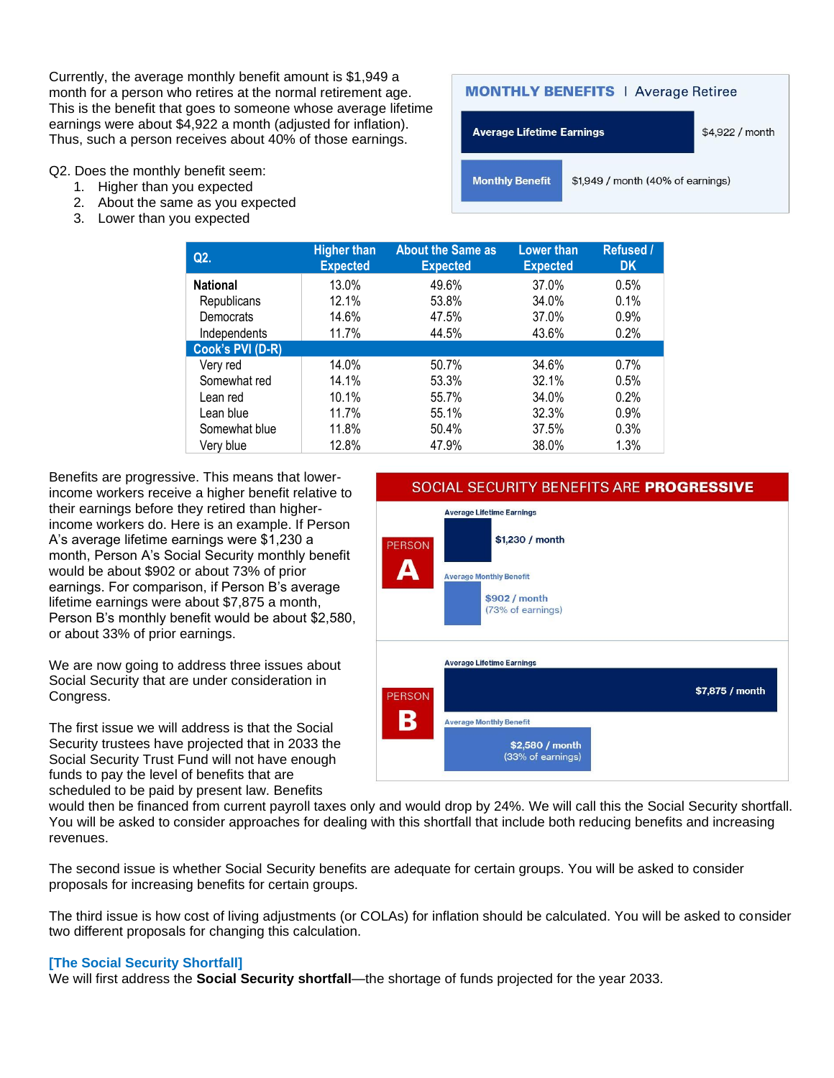Currently, the average monthly benefit amount is \$1,949 a month for a person who retires at the normal retirement age. This is the benefit that goes to someone whose average lifetime earnings were about \$4,922 a month (adjusted for inflation). Thus, such a person receives about 40% of those earnings.

Q2. Does the monthly benefit seem:

- 1. Higher than you expected
- 2. About the same as you expected
- 3. Lower than you expected



| Q <sub>2</sub>   | <b>Higher than</b><br><b>Expected</b> | <b>About the Same as</b><br><b>Expected</b> | <b>Lower than</b><br><b>Expected</b> | Refused /<br><b>DK</b> |
|------------------|---------------------------------------|---------------------------------------------|--------------------------------------|------------------------|
| <b>National</b>  | 13.0%                                 | 49.6%                                       | 37.0%                                | 0.5%                   |
| Republicans      | 12.1%                                 | 53.8%                                       | 34.0%                                | 0.1%                   |
| Democrats        | 14.6%                                 | 47.5%                                       | 37.0%                                | 0.9%                   |
| Independents     | 11.7%                                 | 44.5%                                       | 43.6%                                | 0.2%                   |
| Cook's PVI (D-R) |                                       |                                             |                                      |                        |
| Very red         | 14.0%                                 | 50.7%                                       | 34.6%                                | 0.7%                   |
| Somewhat red     | 14.1%                                 | 53.3%                                       | 32.1%                                | 0.5%                   |
| Lean red         | 10.1%                                 | 55.7%                                       | 34.0%                                | 0.2%                   |
| Lean blue        | 11.7%                                 | 55.1%                                       | 32.3%                                | 0.9%                   |
| Somewhat blue    | 11.8%                                 | 50.4%                                       | 37.5%                                | 0.3%                   |
| Very blue        | 12.8%                                 | 47.9%                                       | 38.0%                                | 1.3%                   |

Benefits are progressive. This means that lowerincome workers receive a higher benefit relative to their earnings before they retired than higherincome workers do. Here is an example. If Person A's average lifetime earnings were \$1,230 a month, Person A's Social Security monthly benefit would be about \$902 or about 73% of prior earnings. For comparison, if Person B's average lifetime earnings were about \$7,875 a month, Person B's monthly benefit would be about \$2,580, or about 33% of prior earnings.

We are now going to address three issues about Social Security that are under consideration in Congress.

The first issue we will address is that the Social Security trustees have projected that in 2033 the Social Security Trust Fund will not have enough funds to pay the level of benefits that are scheduled to be paid by present law. Benefits

## SOCIAL SECURITY BENEFITS ARE PROGRESSIVE



would then be financed from current payroll taxes only and would drop by 24%. We will call this the Social Security shortfall. You will be asked to consider approaches for dealing with this shortfall that include both reducing benefits and increasing revenues.

The second issue is whether Social Security benefits are adequate for certain groups. You will be asked to consider proposals for increasing benefits for certain groups.

The third issue is how cost of living adjustments (or COLAs) for inflation should be calculated. You will be asked to consider two different proposals for changing this calculation.

#### **[The Social Security Shortfall]**

We will first address the **Social Security shortfall**—the shortage of funds projected for the year 2033.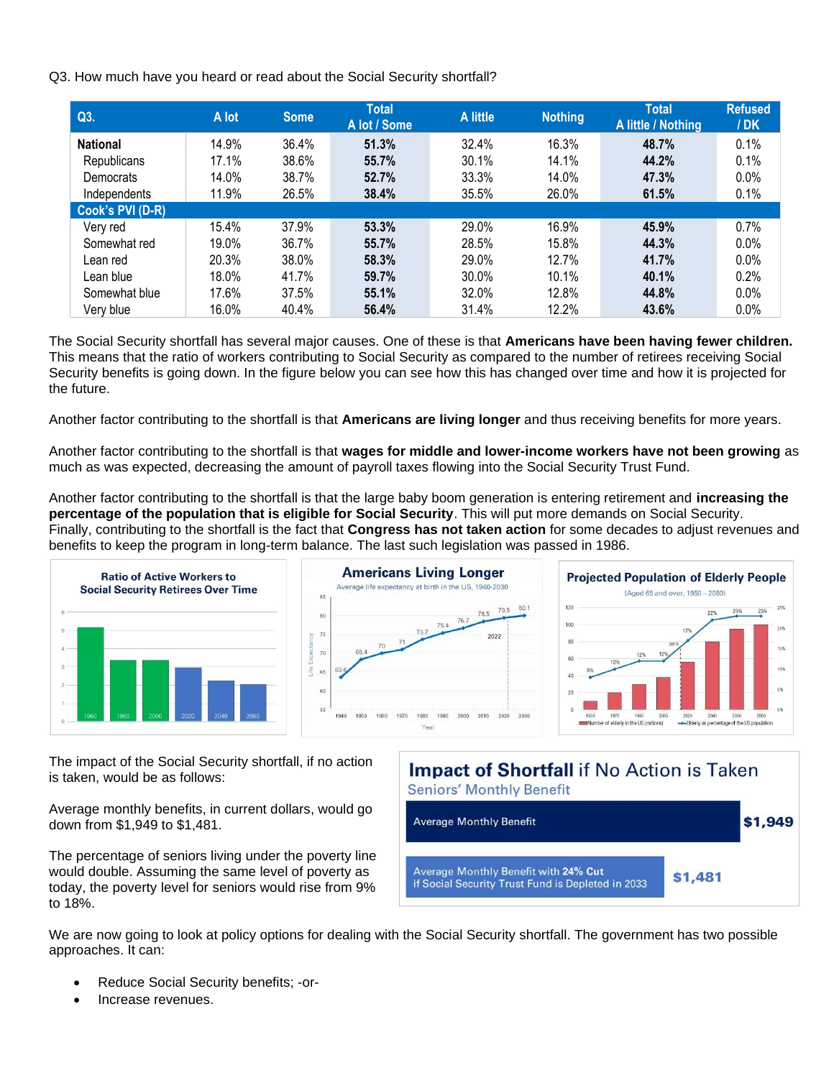Q3. How much have you heard or read about the Social Security shortfall?

| Q3.              | A lot | <b>Some</b> | <b>Total</b><br>A lot / Some | A little | <b>Nothing</b> | <b>Total</b><br>A little / Nothing | <b>Refused</b><br>/DK |
|------------------|-------|-------------|------------------------------|----------|----------------|------------------------------------|-----------------------|
| <b>National</b>  | 14.9% | 36.4%       | 51.3%                        | 32.4%    | 16.3%          | 48.7%                              | 0.1%                  |
| Republicans      | 17.1% | 38.6%       | 55.7%                        | 30.1%    | 14.1%          | 44.2%                              | 0.1%                  |
| Democrats        | 14.0% | 38.7%       | 52.7%                        | 33.3%    | 14.0%          | 47.3%                              | 0.0%                  |
| Independents     | 11.9% | 26.5%       | 38.4%                        | 35.5%    | 26.0%          | 61.5%                              | 0.1%                  |
| Cook's PVI (D-R) |       |             |                              |          |                |                                    |                       |
| Very red         | 15.4% | 37.9%       | 53.3%                        | 29.0%    | 16.9%          | 45.9%                              | 0.7%                  |
| Somewhat red     | 19.0% | 36.7%       | 55.7%                        | 28.5%    | 15.8%          | 44.3%                              | 0.0%                  |
| Lean red         | 20.3% | 38.0%       | 58.3%                        | 29.0%    | 12.7%          | 41.7%                              | 0.0%                  |
| Lean blue        | 18.0% | 41.7%       | 59.7%                        | 30.0%    | 10.1%          | 40.1%                              | 0.2%                  |
| Somewhat blue    | 17.6% | 37.5%       | 55.1%                        | 32.0%    | 12.8%          | 44.8%                              | 0.0%                  |
| Very blue        | 16.0% | 40.4%       | 56.4%                        | 31.4%    | 12.2%          | 43.6%                              | 0.0%                  |

The Social Security shortfall has several major causes. One of these is that **Americans have been having fewer children.**  This means that the ratio of workers contributing to Social Security as compared to the number of retirees receiving Social Security benefits is going down. In the figure below you can see how this has changed over time and how it is projected for the future.

Another factor contributing to the shortfall is that **Americans are living longer** and thus receiving benefits for more years.

Another factor contributing to the shortfall is that **wages for middle and lower-income workers have not been growing** as much as was expected, decreasing the amount of payroll taxes flowing into the Social Security Trust Fund.

Another factor contributing to the shortfall is that the large baby boom generation is entering retirement and **increasing the percentage of the population that is eligible for Social Security**. This will put more demands on Social Security. Finally, contributing to the shortfall is the fact that **Congress has not taken action** for some decades to adjust revenues and benefits to keep the program in long-term balance. The last such legislation was passed in 1986.



The impact of the Social Security shortfall, if no action is taken, would be as follows:

Average monthly benefits, in current dollars, would go down from \$1,949 to \$1,481.

The percentage of seniors living under the poverty line would double. Assuming the same level of poverty as today, the poverty level for seniors would rise from 9% to 18%.

# **Impact of Shortfall** if No Action is Taken **Seniors' Monthly Benefit**



We are now going to look at policy options for dealing with the Social Security shortfall. The government has two possible approaches. It can:

- Reduce Social Security benefits; -or-
- Increase revenues.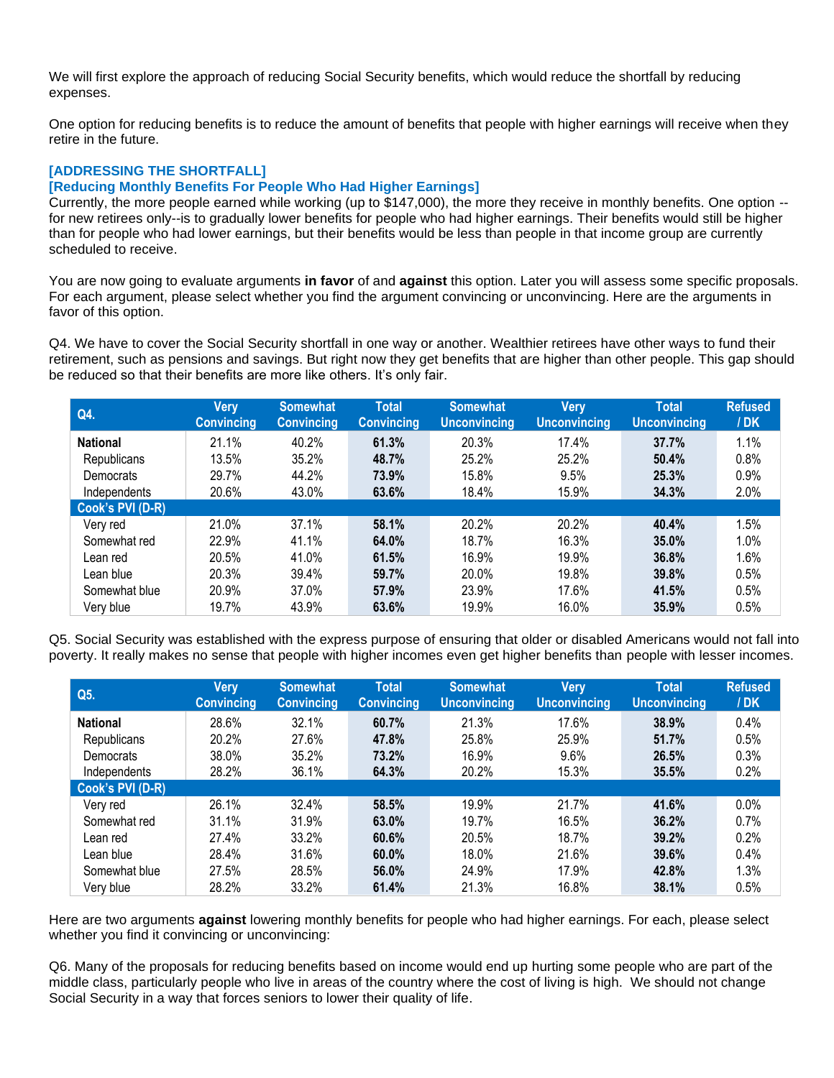We will first explore the approach of reducing Social Security benefits, which would reduce the shortfall by reducing expenses.

One option for reducing benefits is to reduce the amount of benefits that people with higher earnings will receive when they retire in the future.

## **[ADDRESSING THE SHORTFALL]**

### **[Reducing Monthly Benefits For People Who Had Higher Earnings]**

Currently, the more people earned while working (up to \$147,000), the more they receive in monthly benefits. One option - for new retirees only--is to gradually lower benefits for people who had higher earnings. Their benefits would still be higher than for people who had lower earnings, but their benefits would be less than people in that income group are currently scheduled to receive.

You are now going to evaluate arguments **in favor** of and **against** this option. Later you will assess some specific proposals. For each argument, please select whether you find the argument convincing or unconvincing. Here are the arguments in favor of this option.

Q4. We have to cover the Social Security shortfall in one way or another. Wealthier retirees have other ways to fund their retirement, such as pensions and savings. But right now they get benefits that are higher than other people. This gap should be reduced so that their benefits are more like others. It's only fair.

| Q4.              | Very<br><b>Convincing</b> | <b>Somewhat</b><br><b>Convincing</b> | <b>Total</b><br><b>Convincing</b> | <b>Somewhat</b><br><b>Unconvincing</b> | Very<br><b>Unconvincing</b> | <b>Total</b><br><b>Unconvincing</b> | <b>Refused</b><br>/DK |
|------------------|---------------------------|--------------------------------------|-----------------------------------|----------------------------------------|-----------------------------|-------------------------------------|-----------------------|
| <b>National</b>  | 21.1%                     | 40.2%                                | 61.3%                             | 20.3%                                  | 17.4%                       | 37.7%                               | 1.1%                  |
| Republicans      | 13.5%                     | 35.2%                                | 48.7%                             | 25.2%                                  | 25.2%                       | 50.4%                               | 0.8%                  |
| Democrats        | 29.7%                     | 44.2%                                | 73.9%                             | 15.8%                                  | 9.5%                        | 25.3%                               | 0.9%                  |
| Independents     | 20.6%                     | 43.0%                                | 63.6%                             | 18.4%                                  | 15.9%                       | 34.3%                               | 2.0%                  |
| Cook's PVI (D-R) |                           |                                      |                                   |                                        |                             |                                     |                       |
| Very red         | 21.0%                     | 37.1%                                | 58.1%                             | 20.2%                                  | 20.2%                       | 40.4%                               | 1.5%                  |
| Somewhat red     | 22.9%                     | 41.1%                                | 64.0%                             | 18.7%                                  | 16.3%                       | 35.0%                               | 1.0%                  |
| Lean red         | 20.5%                     | 41.0%                                | 61.5%                             | 16.9%                                  | 19.9%                       | 36.8%                               | 1.6%                  |
| Lean blue        | 20.3%                     | 39.4%                                | 59.7%                             | 20.0%                                  | 19.8%                       | 39.8%                               | 0.5%                  |
| Somewhat blue    | 20.9%                     | 37.0%                                | 57.9%                             | 23.9%                                  | 17.6%                       | 41.5%                               | 0.5%                  |
| Very blue        | 19.7%                     | 43.9%                                | 63.6%                             | 19.9%                                  | 16.0%                       | 35.9%                               | 0.5%                  |

Q5. Social Security was established with the express purpose of ensuring that older or disabled Americans would not fall into poverty. It really makes no sense that people with higher incomes even get higher benefits than people with lesser incomes.

| Q5.              | Very<br><b>Convincing</b> | <b>Somewhat</b><br><b>Convincing</b> | <b>Total</b><br><b>Convincing</b> | <b>Somewhat</b><br><b>Unconvincing</b> | Very<br><b>Unconvincing</b> | <b>Total</b><br><b>Unconvincing</b> | <b>Refused</b><br>/DK |
|------------------|---------------------------|--------------------------------------|-----------------------------------|----------------------------------------|-----------------------------|-------------------------------------|-----------------------|
| <b>National</b>  | 28.6%                     | 32.1%                                | 60.7%                             | 21.3%                                  | 17.6%                       | 38.9%                               | 0.4%                  |
| Republicans      | 20.2%                     | 27.6%                                | 47.8%                             | 25.8%                                  | 25.9%                       | 51.7%                               | 0.5%                  |
| Democrats        | 38.0%                     | 35.2%                                | 73.2%                             | 16.9%                                  | 9.6%                        | 26.5%                               | 0.3%                  |
| Independents     | 28.2%                     | 36.1%                                | 64.3%                             | 20.2%                                  | 15.3%                       | 35.5%                               | 0.2%                  |
| Cook's PVI (D-R) |                           |                                      |                                   |                                        |                             |                                     |                       |
| Very red         | 26.1%                     | 32.4%                                | 58.5%                             | 19.9%                                  | 21.7%                       | 41.6%                               | 0.0%                  |
| Somewhat red     | 31.1%                     | 31.9%                                | 63.0%                             | 19.7%                                  | 16.5%                       | 36.2%                               | 0.7%                  |
| Lean red         | 27.4%                     | 33.2%                                | 60.6%                             | 20.5%                                  | 18.7%                       | 39.2%                               | 0.2%                  |
| Lean blue        | 28.4%                     | 31.6%                                | $60.0\%$                          | 18.0%                                  | 21.6%                       | 39.6%                               | 0.4%                  |
| Somewhat blue    | 27.5%                     | 28.5%                                | 56.0%                             | 24.9%                                  | 17.9%                       | 42.8%                               | 1.3%                  |
| Very blue        | 28.2%                     | 33.2%                                | 61.4%                             | 21.3%                                  | 16.8%                       | 38.1%                               | 0.5%                  |

Here are two arguments **against** lowering monthly benefits for people who had higher earnings. For each, please select whether you find it convincing or unconvincing:

Q6. Many of the proposals for reducing benefits based on income would end up hurting some people who are part of the middle class, particularly people who live in areas of the country where the cost of living is high. We should not change Social Security in a way that forces seniors to lower their quality of life.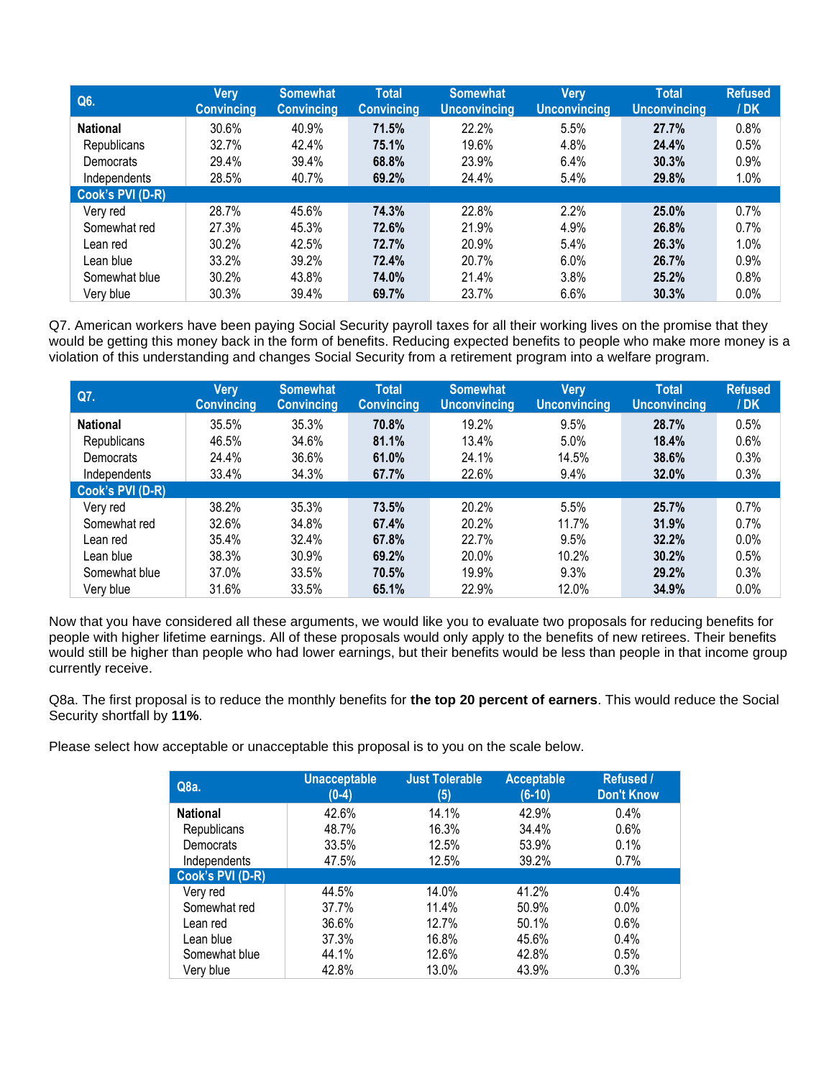| Q6.              | <b>Very</b><br><b>Convincing</b> | <b>Somewhat</b><br><b>Convincing</b> | <b>Total</b><br><b>Convincing</b> | <b>Somewhat</b><br><b>Unconvincing</b> | Very<br><b>Unconvincing</b> | <b>Total</b><br><b>Unconvincing</b> | <b>Refused</b><br>/DK |
|------------------|----------------------------------|--------------------------------------|-----------------------------------|----------------------------------------|-----------------------------|-------------------------------------|-----------------------|
| <b>National</b>  | 30.6%                            | 40.9%                                | 71.5%                             | 22.2%                                  | 5.5%                        | 27.7%                               | 0.8%                  |
| Republicans      | 32.7%                            | 42.4%                                | 75.1%                             | 19.6%                                  | 4.8%                        | 24.4%                               | 0.5%                  |
| Democrats        | 29.4%                            | 39.4%                                | 68.8%                             | 23.9%                                  | 6.4%                        | 30.3%                               | 0.9%                  |
| Independents     | 28.5%                            | 40.7%                                | 69.2%                             | 24.4%                                  | 5.4%                        | 29.8%                               | 1.0%                  |
| Cook's PVI (D-R) |                                  |                                      |                                   |                                        |                             |                                     |                       |
| Very red         | 28.7%                            | 45.6%                                | 74.3%                             | 22.8%                                  | 2.2%                        | 25.0%                               | 0.7%                  |
| Somewhat red     | 27.3%                            | 45.3%                                | 72.6%                             | 21.9%                                  | 4.9%                        | 26.8%                               | 0.7%                  |
| Lean red         | 30.2%                            | 42.5%                                | 72.7%                             | 20.9%                                  | 5.4%                        | 26.3%                               | 1.0%                  |
| Lean blue        | 33.2%                            | 39.2%                                | 72.4%                             | 20.7%                                  | 6.0%                        | 26.7%                               | 0.9%                  |
| Somewhat blue    | 30.2%                            | 43.8%                                | 74.0%                             | 21.4%                                  | 3.8%                        | 25.2%                               | 0.8%                  |
| Very blue        | 30.3%                            | 39.4%                                | 69.7%                             | 23.7%                                  | 6.6%                        | 30.3%                               | 0.0%                  |

Q7. American workers have been paying Social Security payroll taxes for all their working lives on the promise that they would be getting this money back in the form of benefits. Reducing expected benefits to people who make more money is a violation of this understanding and changes Social Security from a retirement program into a welfare program.

| Q7.              | Very<br><b>Convincing</b> | <b>Somewhat</b><br><b>Convincing</b> | <b>Total</b><br><b>Convincing</b> | <b>Somewhat</b><br><b>Unconvincing</b> | <b>Very</b><br><b>Unconvincing</b> | <b>Total</b><br><b>Unconvincing</b> | <b>Refused</b><br>/DK |
|------------------|---------------------------|--------------------------------------|-----------------------------------|----------------------------------------|------------------------------------|-------------------------------------|-----------------------|
| <b>National</b>  | 35.5%                     | 35.3%                                | 70.8%                             | 19.2%                                  | 9.5%                               | 28.7%                               | 0.5%                  |
| Republicans      | 46.5%                     | 34.6%                                | 81.1%                             | 13.4%                                  | 5.0%                               | 18.4%                               | 0.6%                  |
| Democrats        | 24.4%                     | 36.6%                                | 61.0%                             | 24.1%                                  | 14.5%                              | 38.6%                               | 0.3%                  |
| Independents     | 33.4%                     | 34.3%                                | 67.7%                             | 22.6%                                  | 9.4%                               | 32.0%                               | 0.3%                  |
| Cook's PVI (D-R) |                           |                                      |                                   |                                        |                                    |                                     |                       |
| Very red         | 38.2%                     | 35.3%                                | 73.5%                             | 20.2%                                  | 5.5%                               | 25.7%                               | 0.7%                  |
| Somewhat red     | 32.6%                     | 34.8%                                | 67.4%                             | 20.2%                                  | 11.7%                              | 31.9%                               | 0.7%                  |
| Lean red         | 35.4%                     | 32.4%                                | 67.8%                             | 22.7%                                  | 9.5%                               | 32.2%                               | 0.0%                  |
| Lean blue        | 38.3%                     | 30.9%                                | 69.2%                             | 20.0%                                  | 10.2%                              | 30.2%                               | 0.5%                  |
| Somewhat blue    | 37.0%                     | 33.5%                                | 70.5%                             | 19.9%                                  | 9.3%                               | 29.2%                               | 0.3%                  |
| Verv blue        | 31.6%                     | 33.5%                                | 65.1%                             | 22.9%                                  | 12.0%                              | 34.9%                               | 0.0%                  |

Now that you have considered all these arguments, we would like you to evaluate two proposals for reducing benefits for people with higher lifetime earnings. All of these proposals would only apply to the benefits of new retirees. Their benefits would still be higher than people who had lower earnings, but their benefits would be less than people in that income group currently receive.

Q8a. The first proposal is to reduce the monthly benefits for **the top 20 percent of earners**. This would reduce the Social Security shortfall by **11%**.

Please select how acceptable or unacceptable this proposal is to you on the scale below.

| Q8a.             | <b>Unacceptable</b><br>$(0-4)$ | <b>Just Tolerable</b><br>(5) | <b>Acceptable</b><br>$(6-10)$ | Refused /<br><b>Don't Know</b> |
|------------------|--------------------------------|------------------------------|-------------------------------|--------------------------------|
| <b>National</b>  | 42.6%                          | 14.1%                        | 42.9%                         | 0.4%                           |
| Republicans      | 48.7%                          | 16.3%                        | 34.4%                         | 0.6%                           |
| Democrats        | 33.5%                          | 12.5%                        | 53.9%                         | 0.1%                           |
| Independents     | 47.5%                          | 12.5%                        | 39.2%                         | 0.7%                           |
| Cook's PVI (D-R) |                                |                              |                               |                                |
| Very red         | 44.5%                          | 14.0%                        | 41.2%                         | 0.4%                           |
| Somewhat red     | 37.7%                          | 11.4%                        | 50.9%                         | $0.0\%$                        |
| Lean red         | 36.6%                          | 12.7%                        | 50.1%                         | 0.6%                           |
| Lean blue        | 37.3%                          | 16.8%                        | 45.6%                         | 0.4%                           |
| Somewhat blue    | 44.1%                          | 12.6%                        | 42.8%                         | 0.5%                           |
| Very blue        | 42.8%                          | 13.0%                        | 43.9%                         | 0.3%                           |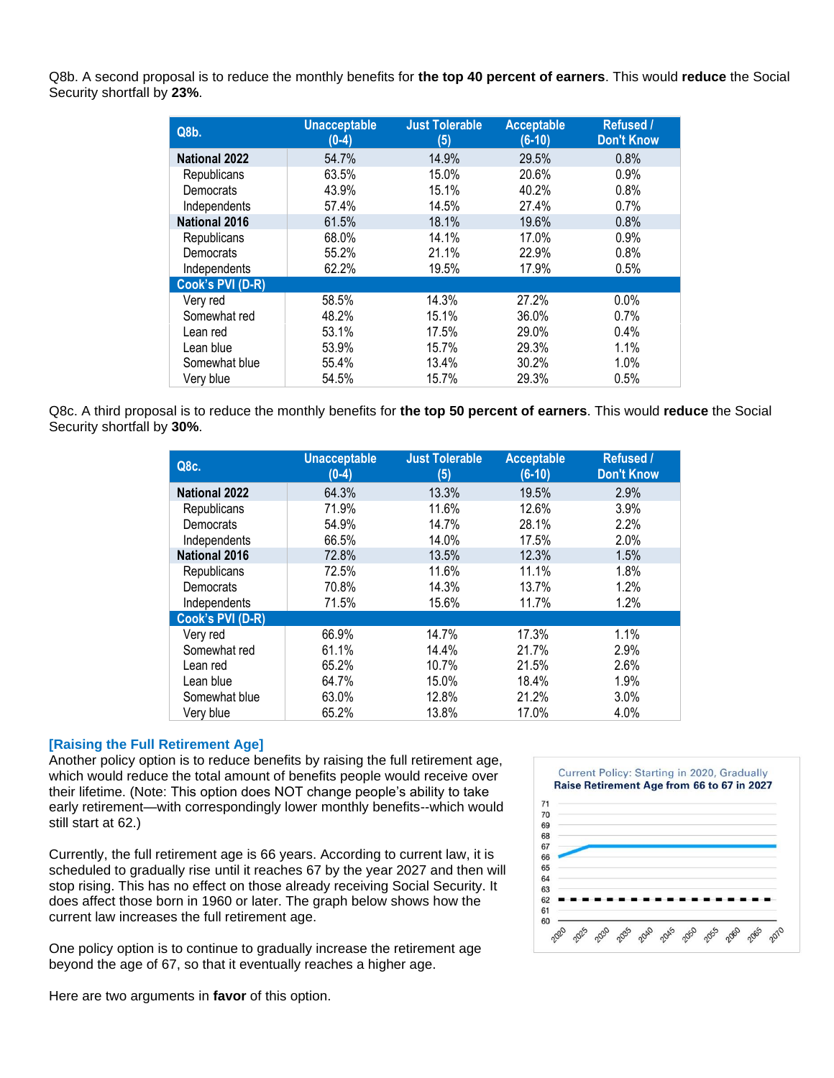Q8b. A second proposal is to reduce the monthly benefits for **the top 40 percent of earners**. This would **reduce** the Social Security shortfall by **23%**.

| Q8b.                 | <b>Unacceptable</b><br>$(0-4)$ | <b>Just Tolerable</b><br>(5) | <b>Acceptable</b><br>$(6-10)$ | <b>Refused /</b><br><b>Don't Know</b> |
|----------------------|--------------------------------|------------------------------|-------------------------------|---------------------------------------|
| <b>National 2022</b> | 54.7%                          | 14.9%                        | 29.5%                         | 0.8%                                  |
| Republicans          | 63.5%                          | 15.0%                        | 20.6%                         | 0.9%                                  |
| Democrats            | 43.9%                          | 15.1%                        | 40.2%                         | 0.8%                                  |
| Independents         | 57.4%                          | 14.5%                        | 27.4%                         | 0.7%                                  |
| <b>National 2016</b> | 61.5%                          | 18.1%                        | 19.6%                         | 0.8%                                  |
| Republicans          | 68.0%                          | 14.1%                        | 17.0%                         | 0.9%                                  |
| Democrats            | 55.2%                          | 21.1%                        | 22.9%                         | 0.8%                                  |
| Independents         | 62.2%                          | 19.5%                        | 17.9%                         | 0.5%                                  |
| Cook's PVI (D-R)     |                                |                              |                               |                                       |
| Very red             | 58.5%                          | 14.3%                        | 27.2%                         | 0.0%                                  |
| Somewhat red         | 48.2%                          | 15.1%                        | 36.0%                         | 0.7%                                  |
| Lean red             | 53.1%                          | 17.5%                        | 29.0%                         | 0.4%                                  |
| Lean blue            | 53.9%                          | 15.7%                        | 29.3%                         | 1.1%                                  |
| Somewhat blue        | 55.4%                          | 13.4%                        | 30.2%                         | 1.0%                                  |
| Very blue            | 54.5%                          | 15.7%                        | 29.3%                         | 0.5%                                  |

Q8c. A third proposal is to reduce the monthly benefits for **the top 50 percent of earners**. This would **reduce** the Social Security shortfall by **30%**.

| Q8c.                 | <b>Unacceptable</b><br>$(0-4)$ | <b>Just Tolerable</b><br>(5) | <b>Acceptable</b><br>$(6-10)$ | Refused /<br><b>Don't Know</b> |
|----------------------|--------------------------------|------------------------------|-------------------------------|--------------------------------|
| <b>National 2022</b> | 64.3%                          | 13.3%                        | 19.5%                         | 2.9%                           |
| Republicans          | 71.9%                          | 11.6%                        | 12.6%                         | 3.9%                           |
| Democrats            | 54.9%                          | 14.7%                        | 28.1%                         | 2.2%                           |
| Independents         | 66.5%                          | 14.0%                        | 17.5%                         | 2.0%                           |
| <b>National 2016</b> | 72.8%                          | 13.5%                        | 12.3%                         | 1.5%                           |
| Republicans          | 72.5%                          | 11.6%                        | 11.1%                         | 1.8%                           |
| Democrats            | 70.8%                          | 14.3%                        | 13.7%                         | 1.2%                           |
| Independents         | 71.5%                          | 15.6%                        | 11.7%                         | 1.2%                           |
| Cook's PVI (D-R)     |                                |                              |                               |                                |
| Very red             | 66.9%                          | 14.7%                        | 17.3%                         | 1.1%                           |
| Somewhat red         | 61.1%                          | 14.4%                        | 21.7%                         | 2.9%                           |
| Lean red             | 65.2%                          | 10.7%                        | 21.5%                         | 2.6%                           |
| Lean blue            | 64.7%                          | 15.0%                        | 18.4%                         | 1.9%                           |
| Somewhat blue        | 63.0%                          | 12.8%                        | 21.2%                         | 3.0%                           |
| Very blue            | 65.2%                          | 13.8%                        | 17.0%                         | 4.0%                           |

#### **[Raising the Full Retirement Age]**

Another policy option is to reduce benefits by raising the full retirement age, which would reduce the total amount of benefits people would receive over their lifetime. (Note: This option does NOT change people's ability to take early retirement—with correspondingly lower monthly benefits--which would still start at 62.)

Currently, the full retirement age is 66 years. According to current law, it is scheduled to gradually rise until it reaches 67 by the year 2027 and then will stop rising. This has no effect on those already receiving Social Security. It does affect those born in 1960 or later. The graph below shows how the current law increases the full retirement age.

One policy option is to continue to gradually increase the retirement age beyond the age of 67, so that it eventually reaches a higher age.



Here are two arguments in **favor** of this option.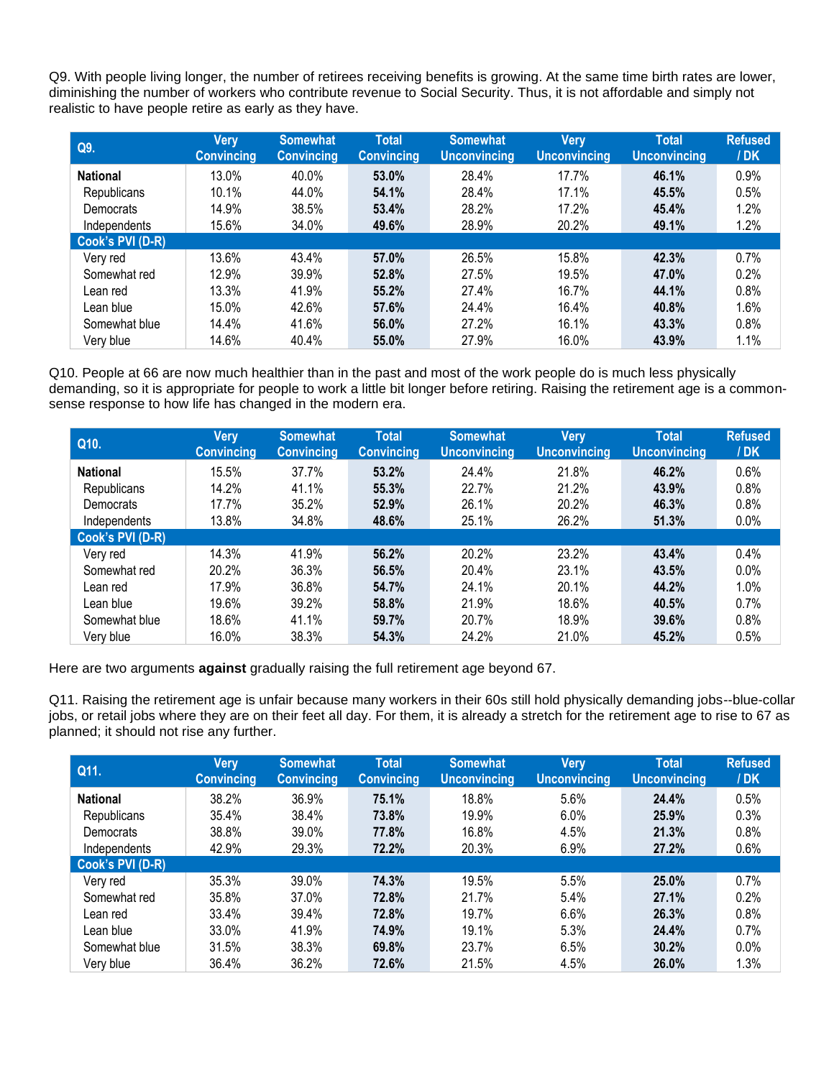Q9. With people living longer, the number of retirees receiving benefits is growing. At the same time birth rates are lower, diminishing the number of workers who contribute revenue to Social Security. Thus, it is not affordable and simply not realistic to have people retire as early as they have.

| Q9.              | Very<br><b>Convincing</b> | <b>Somewhat</b><br><b>Convincing</b> | <b>Total</b><br><b>Convincing</b> | <b>Somewhat</b><br><b>Unconvincing</b> | <b>Very</b><br><b>Unconvincing</b> | <b>Total</b><br><b>Unconvincing</b> | <b>Refused</b><br>/ <b>DK</b> |
|------------------|---------------------------|--------------------------------------|-----------------------------------|----------------------------------------|------------------------------------|-------------------------------------|-------------------------------|
| <b>National</b>  | 13.0%                     | 40.0%                                | 53.0%                             | 28.4%                                  | 17.7%                              | 46.1%                               | 0.9%                          |
| Republicans      | 10.1%                     | 44.0%                                | 54.1%                             | 28.4%                                  | 17.1%                              | 45.5%                               | 0.5%                          |
| Democrats        | 14.9%                     | 38.5%                                | 53.4%                             | 28.2%                                  | 17.2%                              | 45.4%                               | 1.2%                          |
| Independents     | 15.6%                     | 34.0%                                | 49.6%                             | 28.9%                                  | 20.2%                              | 49.1%                               | 1.2%                          |
| Cook's PVI (D-R) |                           |                                      |                                   |                                        |                                    |                                     |                               |
| Very red         | 13.6%                     | 43.4%                                | 57.0%                             | 26.5%                                  | 15.8%                              | 42.3%                               | 0.7%                          |
| Somewhat red     | 12.9%                     | 39.9%                                | 52.8%                             | 27.5%                                  | 19.5%                              | 47.0%                               | 0.2%                          |
| Lean red         | 13.3%                     | 41.9%                                | 55.2%                             | 27.4%                                  | 16.7%                              | 44.1%                               | 0.8%                          |
| Lean blue        | 15.0%                     | 42.6%                                | 57.6%                             | 24.4%                                  | 16.4%                              | 40.8%                               | 1.6%                          |
| Somewhat blue    | 14.4%                     | 41.6%                                | 56.0%                             | 27.2%                                  | 16.1%                              | 43.3%                               | 0.8%                          |
| Very blue        | 14.6%                     | 40.4%                                | 55.0%                             | 27.9%                                  | 16.0%                              | 43.9%                               | 1.1%                          |

Q10. People at 66 are now much healthier than in the past and most of the work people do is much less physically demanding, so it is appropriate for people to work a little bit longer before retiring. Raising the retirement age is a commonsense response to how life has changed in the modern era.

| Q10.             | <b>Very</b><br><b>Convincing</b> | <b>Somewhat</b><br><b>Convincing</b> | Total<br><b>Convincing</b> | <b>Somewhat</b><br><b>Unconvincing</b> | <b>Very</b><br><b>Unconvincing</b> | <b>Total</b><br><b>Unconvincing</b> | <b>Refused</b><br>/DK |
|------------------|----------------------------------|--------------------------------------|----------------------------|----------------------------------------|------------------------------------|-------------------------------------|-----------------------|
| <b>National</b>  | 15.5%                            | 37.7%                                | 53.2%                      | 24.4%                                  | 21.8%                              | 46.2%                               | 0.6%                  |
| Republicans      | 14.2%                            | 41.1%                                | 55.3%                      | 22.7%                                  | 21.2%                              | 43.9%                               | 0.8%                  |
| Democrats        | 17.7%                            | 35.2%                                | 52.9%                      | 26.1%                                  | 20.2%                              | 46.3%                               | 0.8%                  |
| Independents     | 13.8%                            | 34.8%                                | 48.6%                      | 25.1%                                  | 26.2%                              | 51.3%                               | 0.0%                  |
| Cook's PVI (D-R) |                                  |                                      |                            |                                        |                                    |                                     |                       |
| Very red         | 14.3%                            | 41.9%                                | 56.2%                      | 20.2%                                  | 23.2%                              | 43.4%                               | 0.4%                  |
| Somewhat red     | 20.2%                            | 36.3%                                | 56.5%                      | 20.4%                                  | 23.1%                              | 43.5%                               | 0.0%                  |
| Lean red         | 17.9%                            | 36.8%                                | 54.7%                      | 24.1%                                  | 20.1%                              | 44.2%                               | 1.0%                  |
| Lean blue        | 19.6%                            | 39.2%                                | 58.8%                      | 21.9%                                  | 18.6%                              | 40.5%                               | 0.7%                  |
| Somewhat blue    | 18.6%                            | 41.1%                                | 59.7%                      | 20.7%                                  | 18.9%                              | 39.6%                               | 0.8%                  |
| Very blue        | 16.0%                            | 38.3%                                | 54.3%                      | 24.2%                                  | 21.0%                              | 45.2%                               | 0.5%                  |

Here are two arguments **against** gradually raising the full retirement age beyond 67.

Q11. Raising the retirement age is unfair because many workers in their 60s still hold physically demanding jobs--blue-collar jobs, or retail jobs where they are on their feet all day. For them, it is already a stretch for the retirement age to rise to 67 as planned; it should not rise any further.

| Q11.             | Very<br><b>Convincing</b> | <b>Somewhat</b><br><b>Convincing</b> | <b>Total</b><br><b>Convincing</b> | <b>Somewhat</b><br><b>Unconvincing</b> | <b>Very</b><br><b>Unconvincing</b> | <b>Total</b><br><b>Unconvincing</b> | <b>Refused</b><br>/DK |
|------------------|---------------------------|--------------------------------------|-----------------------------------|----------------------------------------|------------------------------------|-------------------------------------|-----------------------|
| <b>National</b>  | 38.2%                     | 36.9%                                | 75.1%                             | 18.8%                                  | 5.6%                               | 24.4%                               | 0.5%                  |
| Republicans      | 35.4%                     | 38.4%                                | 73.8%                             | 19.9%                                  | 6.0%                               | 25.9%                               | 0.3%                  |
| Democrats        | 38.8%                     | 39.0%                                | 77.8%                             | 16.8%                                  | 4.5%                               | 21.3%                               | 0.8%                  |
| Independents     | 42.9%                     | 29.3%                                | 72.2%                             | 20.3%                                  | 6.9%                               | 27.2%                               | 0.6%                  |
| Cook's PVI (D-R) |                           |                                      |                                   |                                        |                                    |                                     |                       |
| Very red         | 35.3%                     | 39.0%                                | 74.3%                             | 19.5%                                  | 5.5%                               | 25.0%                               | 0.7%                  |
| Somewhat red     | 35.8%                     | 37.0%                                | 72.8%                             | 21.7%                                  | 5.4%                               | 27.1%                               | 0.2%                  |
| Lean red         | 33.4%                     | 39.4%                                | 72.8%                             | 19.7%                                  | 6.6%                               | 26.3%                               | 0.8%                  |
| Lean blue        | 33.0%                     | 41.9%                                | 74.9%                             | 19.1%                                  | 5.3%                               | 24.4%                               | 0.7%                  |
| Somewhat blue    | 31.5%                     | 38.3%                                | 69.8%                             | 23.7%                                  | 6.5%                               | 30.2%                               | $0.0\%$               |
| Very blue        | 36.4%                     | 36.2%                                | 72.6%                             | 21.5%                                  | 4.5%                               | 26.0%                               | 1.3%                  |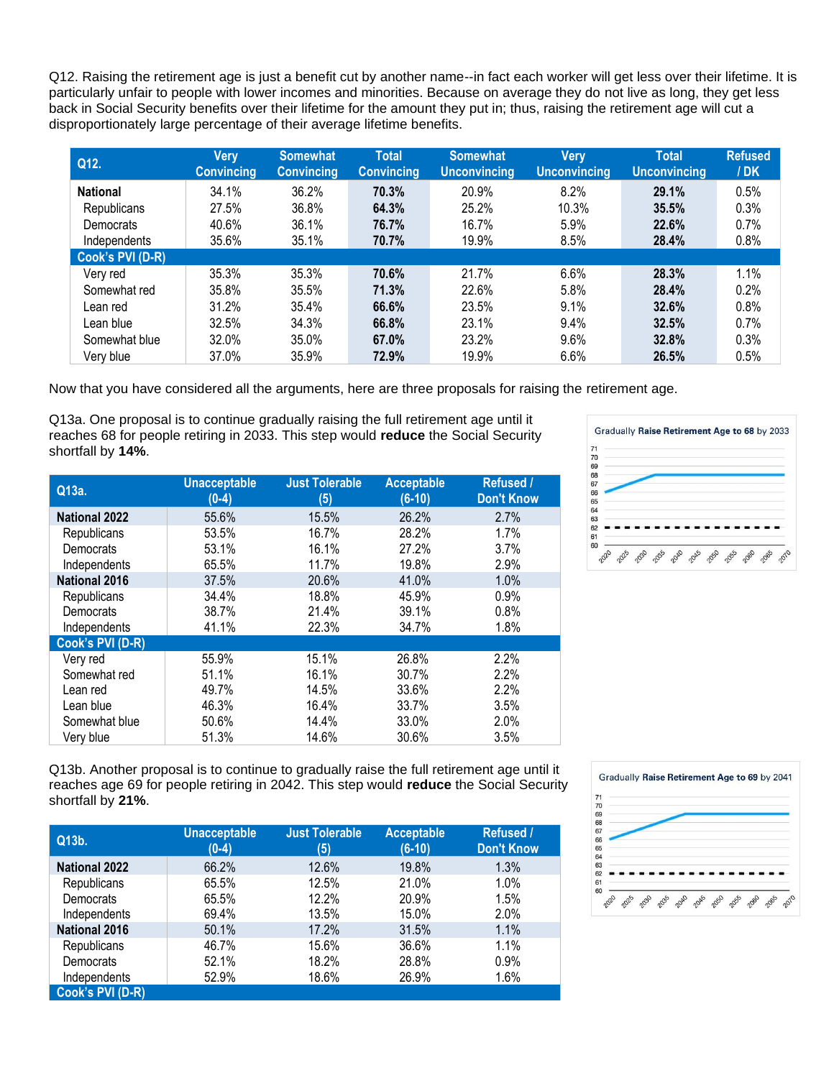Q12. Raising the retirement age is just a benefit cut by another name--in fact each worker will get less over their lifetime. It is particularly unfair to people with lower incomes and minorities. Because on average they do not live as long, they get less back in Social Security benefits over their lifetime for the amount they put in; thus, raising the retirement age will cut a disproportionately large percentage of their average lifetime benefits.

| Q12.             | Very<br><b>Convincing</b> | <b>Somewhat</b><br><b>Convincing</b> | <b>Total</b><br><b>Convincing</b> | <b>Somewhat</b><br><b>Unconvincing</b> | <b>Very</b><br><b>Unconvincing</b> | <b>Total</b><br><b>Unconvincing</b> | <b>Refused</b><br>/ <b>DK</b> |
|------------------|---------------------------|--------------------------------------|-----------------------------------|----------------------------------------|------------------------------------|-------------------------------------|-------------------------------|
| <b>National</b>  | 34.1%                     | 36.2%                                | 70.3%                             | 20.9%                                  | 8.2%                               | 29.1%                               | 0.5%                          |
| Republicans      | 27.5%                     | 36.8%                                | 64.3%                             | 25.2%                                  | 10.3%                              | 35.5%                               | 0.3%                          |
| Democrats        | 40.6%                     | 36.1%                                | 76.7%                             | 16.7%                                  | 5.9%                               | 22.6%                               | 0.7%                          |
| Independents     | 35.6%                     | 35.1%                                | 70.7%                             | 19.9%                                  | 8.5%                               | 28.4%                               | 0.8%                          |
| Cook's PVI (D-R) |                           |                                      |                                   |                                        |                                    |                                     |                               |
| Very red         | 35.3%                     | 35.3%                                | 70.6%                             | 21.7%                                  | 6.6%                               | 28.3%                               | 1.1%                          |
| Somewhat red     | 35.8%                     | 35.5%                                | 71.3%                             | 22.6%                                  | 5.8%                               | 28.4%                               | 0.2%                          |
| Lean red         | 31.2%                     | 35.4%                                | 66.6%                             | 23.5%                                  | 9.1%                               | 32.6%                               | 0.8%                          |
| Lean blue        | 32.5%                     | 34.3%                                | 66.8%                             | 23.1%                                  | 9.4%                               | 32.5%                               | 0.7%                          |
| Somewhat blue    | 32.0%                     | 35.0%                                | 67.0%                             | 23.2%                                  | 9.6%                               | 32.8%                               | 0.3%                          |
| Very blue        | 37.0%                     | 35.9%                                | 72.9%                             | 19.9%                                  | 6.6%                               | 26.5%                               | 0.5%                          |

Now that you have considered all the arguments, here are three proposals for raising the retirement age.

Q13a. One proposal is to continue gradually raising the full retirement age until it reaches 68 for people retiring in 2033. This step would **reduce** the Social Security shortfall by **14%**.

| Q13a.                | <b>Unacceptable</b><br>$(0-4)$ | <b>Just Tolerable</b><br>(5) | <b>Acceptable</b><br>$(6-10)$ | Refused /<br><b>Don't Know</b> |
|----------------------|--------------------------------|------------------------------|-------------------------------|--------------------------------|
| <b>National 2022</b> | 55.6%                          | 15.5%                        | 26.2%                         | 2.7%                           |
| Republicans          | 53.5%                          | 16.7%                        | 28.2%                         | 1.7%                           |
| Democrats            | 53.1%                          | 16.1%                        | 27.2%                         | 3.7%                           |
| Independents         | 65.5%                          | 11.7%                        | 19.8%                         | 2.9%                           |
| <b>National 2016</b> | 37.5%                          | 20.6%                        | 41.0%                         | 1.0%                           |
| Republicans          | 34.4%                          | 18.8%                        | 45.9%                         | 0.9%                           |
| Democrats            | 38.7%                          | 21.4%                        | 39.1%                         | 0.8%                           |
| Independents         | 41.1%                          | 22.3%                        | 34.7%                         | 1.8%                           |
| Cook's PVI (D-R)     |                                |                              |                               |                                |
| Very red             | 55.9%                          | 15.1%                        | 26.8%                         | 2.2%                           |
| Somewhat red         | 51.1%                          | 16.1%                        | 30.7%                         | 2.2%                           |
| Lean red             | 49.7%                          | 14.5%                        | 33.6%                         | 2.2%                           |
| Lean blue            | 46.3%                          | 16.4%                        | 33.7%                         | 3.5%                           |
| Somewhat blue        | 50.6%                          | 14.4%                        | 33.0%                         | 2.0%                           |
| Very blue            | 51.3%                          | 14.6%                        | 30.6%                         | 3.5%                           |



Q13b. Another proposal is to continue to gradually raise the full retirement age until it reaches age 69 for people retiring in 2042. This step would **reduce** the Social Security shortfall by **21%**.

| Q13b.                | <b>Unacceptable</b><br>$(0-4)$ | <b>Just Tolerable</b><br>(5) | <b>Acceptable</b><br>$(6-10)$ | Refused /<br><b>Don't Know</b> |
|----------------------|--------------------------------|------------------------------|-------------------------------|--------------------------------|
| <b>National 2022</b> | 66.2%                          | 12.6%                        | 19.8%                         | 1.3%                           |
| Republicans          | 65.5%                          | 12.5%                        | 21.0%                         | 1.0%                           |
| Democrats            | 65.5%                          | 12.2%                        | 20.9%                         | 1.5%                           |
| Independents         | 69.4%                          | 13.5%                        | 15.0%                         | 2.0%                           |
| <b>National 2016</b> | 50.1%                          | 17.2%                        | 31.5%                         | 1.1%                           |
| Republicans          | 46.7%                          | 15.6%                        | 36.6%                         | 1.1%                           |
| Democrats            | 52.1%                          | 18.2%                        | 28.8%                         | 0.9%                           |
| Independents         | 52.9%                          | 18.6%                        | 26.9%                         | 1.6%                           |
| Cook's PVI (D-R)     |                                |                              |                               |                                |

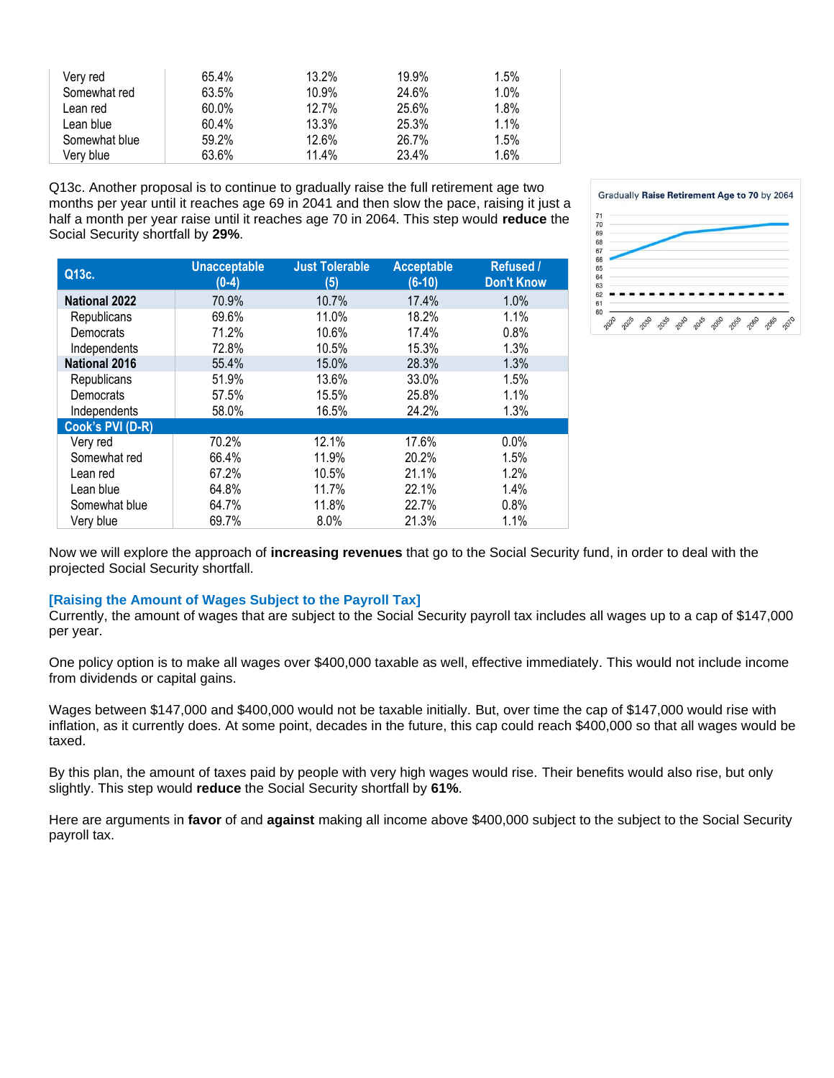| Very red      | 65.4% | 13.2% | 19.9% | 1.5% |
|---------------|-------|-------|-------|------|
| Somewhat red  | 63.5% | 10.9% | 24.6% | 1.0% |
| Lean red      | 60.0% | 12.7% | 25.6% | 1.8% |
| Lean blue     | 60.4% | 13.3% | 25.3% | 1.1% |
| Somewhat blue | 59.2% | 12.6% | 26.7% | 1.5% |
| Very blue     | 63.6% | 11.4% | 23.4% | 1.6% |

Q13c. Another proposal is to continue to gradually raise the full retirement age two months per year until it reaches age 69 in 2041 and then slow the pace, raising it just a half a month per year raise until it reaches age 70 in 2064. This step would **reduce** the Social Security shortfall by **29%**.

| Q13c.                | <b>Unacceptable</b><br>$(0-4)$ | <b>Just Tolerable</b><br>(5) | <b>Acceptable</b><br>$(6-10)$ | <b>Refused /</b><br><b>Don't Know</b> |
|----------------------|--------------------------------|------------------------------|-------------------------------|---------------------------------------|
| <b>National 2022</b> | 70.9%                          | 10.7%                        | 17.4%                         | 1.0%                                  |
| Republicans          | 69.6%                          | 11.0%                        | 18.2%                         | 1.1%                                  |
| Democrats            | 71.2%                          | 10.6%                        | 17.4%                         | 0.8%                                  |
| Independents         | 72.8%                          | 10.5%                        | 15.3%                         | 1.3%                                  |
| <b>National 2016</b> | 55.4%                          | 15.0%                        | 28.3%                         | 1.3%                                  |
| Republicans          | 51.9%                          | 13.6%                        | 33.0%                         | 1.5%                                  |
| Democrats            | 57.5%                          | 15.5%                        | 25.8%                         | 1.1%                                  |
| Independents         | 58.0%                          | 16.5%                        | 24.2%                         | 1.3%                                  |
| Cook's PVI (D-R)     |                                |                              |                               |                                       |
| Very red             | 70.2%                          | 12.1%                        | 17.6%                         | 0.0%                                  |
| Somewhat red         | 66.4%                          | 11.9%                        | 20.2%                         | 1.5%                                  |
| Lean red             | 67.2%                          | 10.5%                        | 21.1%                         | 1.2%                                  |
| Lean blue            | 64.8%                          | 11.7%                        | 22.1%                         | 1.4%                                  |
| Somewhat blue        | 64.7%                          | 11.8%                        | 22.7%                         | 0.8%                                  |
| Very blue            | 69.7%                          | 8.0%                         | 21.3%                         | 1.1%                                  |



Now we will explore the approach of **increasing revenues** that go to the Social Security fund, in order to deal with the projected Social Security shortfall.

#### **[Raising the Amount of Wages Subject to the Payroll Tax]**

Currently, the amount of wages that are subject to the Social Security payroll tax includes all wages up to a cap of \$147,000 per year.

One policy option is to make all wages over \$400,000 taxable as well, effective immediately. This would not include income from dividends or capital gains.

Wages between \$147,000 and \$400,000 would not be taxable initially. But, over time the cap of \$147,000 would rise with inflation, as it currently does. At some point, decades in the future, this cap could reach \$400,000 so that all wages would be taxed.

By this plan, the amount of taxes paid by people with very high wages would rise. Their benefits would also rise, but only slightly. This step would **reduce** the Social Security shortfall by **61%**.

Here are arguments in **favor** of and **against** making all income above \$400,000 subject to the subject to the Social Security payroll tax.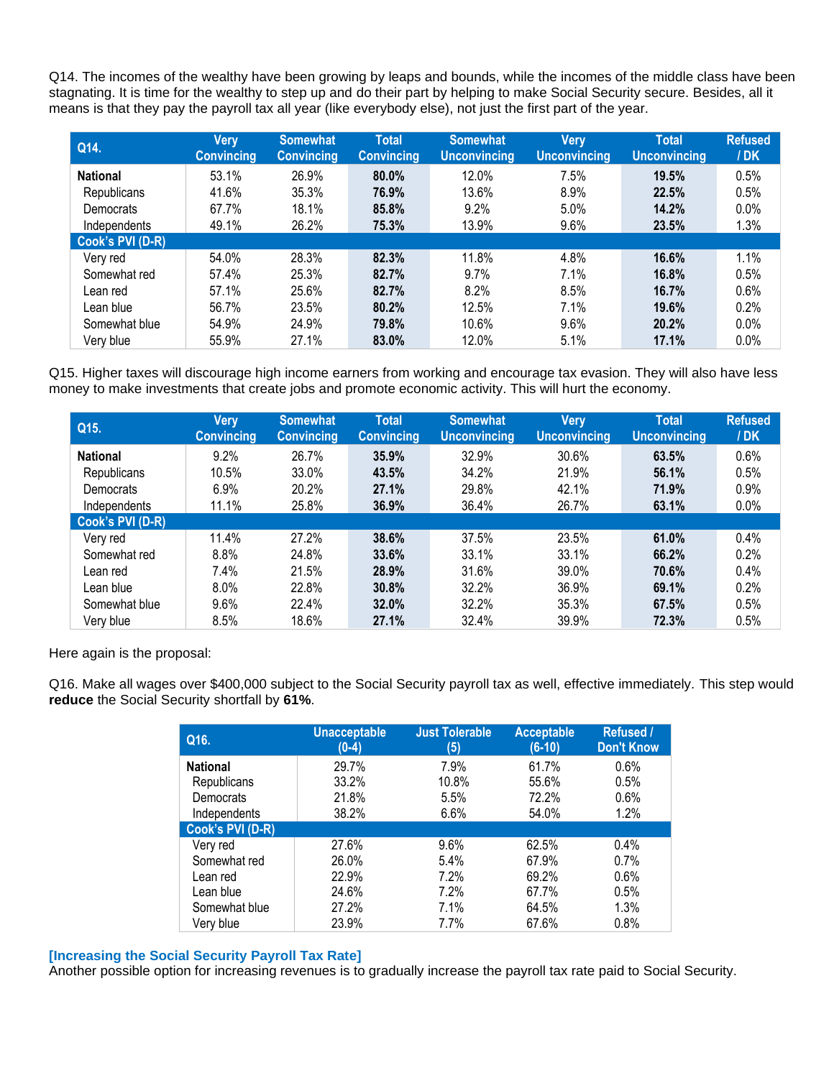Q14. The incomes of the wealthy have been growing by leaps and bounds, while the incomes of the middle class have been stagnating. It is time for the wealthy to step up and do their part by helping to make Social Security secure. Besides, all it means is that they pay the payroll tax all year (like everybody else), not just the first part of the year.

| Q14.             | Very<br><b>Convincing</b> | <b>Somewhat</b><br><b>Convincing</b> | <b>Total</b><br><b>Convincing</b> | <b>Somewhat</b><br><b>Unconvincing</b> | <b>Very</b><br><b>Unconvincing</b> | Total<br><b>Unconvincing</b> | <b>Refused</b><br>/DK |
|------------------|---------------------------|--------------------------------------|-----------------------------------|----------------------------------------|------------------------------------|------------------------------|-----------------------|
| <b>National</b>  | 53.1%                     | 26.9%                                | 80.0%                             | 12.0%                                  | 7.5%                               | 19.5%                        | 0.5%                  |
| Republicans      | 41.6%                     | 35.3%                                | 76.9%                             | 13.6%                                  | 8.9%                               | 22.5%                        | 0.5%                  |
| Democrats        | 67.7%                     | 18.1%                                | 85.8%                             | 9.2%                                   | 5.0%                               | 14.2%                        | 0.0%                  |
| Independents     | 49.1%                     | 26.2%                                | 75.3%                             | 13.9%                                  | 9.6%                               | 23.5%                        | 1.3%                  |
| Cook's PVI (D-R) |                           |                                      |                                   |                                        |                                    |                              |                       |
| Very red         | 54.0%                     | 28.3%                                | 82.3%                             | 11.8%                                  | 4.8%                               | 16.6%                        | 1.1%                  |
| Somewhat red     | 57.4%                     | 25.3%                                | 82.7%                             | 9.7%                                   | 7.1%                               | 16.8%                        | 0.5%                  |
| Lean red         | 57.1%                     | 25.6%                                | 82.7%                             | 8.2%                                   | 8.5%                               | 16.7%                        | 0.6%                  |
| Lean blue        | 56.7%                     | 23.5%                                | 80.2%                             | 12.5%                                  | 7.1%                               | 19.6%                        | 0.2%                  |
| Somewhat blue    | 54.9%                     | 24.9%                                | 79.8%                             | 10.6%                                  | 9.6%                               | 20.2%                        | 0.0%                  |
| Very blue        | 55.9%                     | 27.1%                                | 83.0%                             | 12.0%                                  | 5.1%                               | 17.1%                        | 0.0%                  |

Q15. Higher taxes will discourage high income earners from working and encourage tax evasion. They will also have less money to make investments that create jobs and promote economic activity. This will hurt the economy.

| Q15.             | Very<br><b>Convincing</b> | <b>Somewhat</b><br><b>Convincing</b> | <b>Total</b><br><b>Convincing</b> | <b>Somewhat</b><br><b>Unconvincing</b> | Very<br><b>Unconvincing</b> | <b>Total</b><br><b>Unconvincing</b> | <b>Refused</b><br>/ <b>DK</b> |
|------------------|---------------------------|--------------------------------------|-----------------------------------|----------------------------------------|-----------------------------|-------------------------------------|-------------------------------|
| <b>National</b>  | 9.2%                      | 26.7%                                | 35.9%                             | 32.9%                                  | 30.6%                       | 63.5%                               | 0.6%                          |
| Republicans      | 10.5%                     | 33.0%                                | 43.5%                             | 34.2%                                  | 21.9%                       | 56.1%                               | 0.5%                          |
| Democrats        | 6.9%                      | 20.2%                                | 27.1%                             | 29.8%                                  | 42.1%                       | 71.9%                               | 0.9%                          |
| Independents     | 11.1%                     | 25.8%                                | 36.9%                             | 36.4%                                  | 26.7%                       | 63.1%                               | 0.0%                          |
| Cook's PVI (D-R) |                           |                                      |                                   |                                        |                             |                                     |                               |
| Very red         | 11.4%                     | 27.2%                                | 38.6%                             | 37.5%                                  | 23.5%                       | 61.0%                               | 0.4%                          |
| Somewhat red     | 8.8%                      | 24.8%                                | 33.6%                             | 33.1%                                  | 33.1%                       | 66.2%                               | 0.2%                          |
| Lean red         | 7.4%                      | 21.5%                                | 28.9%                             | 31.6%                                  | 39.0%                       | 70.6%                               | 0.4%                          |
| Lean blue        | $8.0\%$                   | 22.8%                                | 30.8%                             | 32.2%                                  | 36.9%                       | 69.1%                               | 0.2%                          |
| Somewhat blue    | 9.6%                      | 22.4%                                | 32.0%                             | 32.2%                                  | 35.3%                       | 67.5%                               | 0.5%                          |
| Very blue        | 8.5%                      | 18.6%                                | 27.1%                             | 32.4%                                  | 39.9%                       | 72.3%                               | 0.5%                          |

Here again is the proposal:

Q16. Make all wages over \$400,000 subject to the Social Security payroll tax as well, effective immediately. This step would **reduce** the Social Security shortfall by **61%**.

| Q16.             | <b>Unacceptable</b><br>$(0-4)$ | <b>Just Tolerable</b><br>(5) | <b>Acceptable</b><br>$(6-10)$ | <b>Refused /</b><br><b>Don't Know</b> |
|------------------|--------------------------------|------------------------------|-------------------------------|---------------------------------------|
| <b>National</b>  | 29.7%                          | 7.9%                         | 61.7%                         | 0.6%                                  |
| Republicans      | 33.2%                          | 10.8%                        | 55.6%                         | 0.5%                                  |
| Democrats        | 21.8%                          | 5.5%                         | 72.2%                         | 0.6%                                  |
| Independents     | 38.2%                          | 6.6%                         | 54.0%                         | 1.2%                                  |
| Cook's PVI (D-R) |                                |                              |                               |                                       |
| Very red         | 27.6%                          | 9.6%                         | 62.5%                         | 0.4%                                  |
| Somewhat red     | 26.0%                          | 5.4%                         | 67.9%                         | 0.7%                                  |
| Lean red         | 22.9%                          | 7.2%                         | 69.2%                         | 0.6%                                  |
| Lean blue        | 24.6%                          | 7.2%                         | 67.7%                         | 0.5%                                  |
| Somewhat blue    | 27.2%                          | 7.1%                         | 64.5%                         | 1.3%                                  |
| Very blue        | 23.9%                          | 7.7%                         | 67.6%                         | 0.8%                                  |

## **[Increasing the Social Security Payroll Tax Rate]**

Another possible option for increasing revenues is to gradually increase the payroll tax rate paid to Social Security.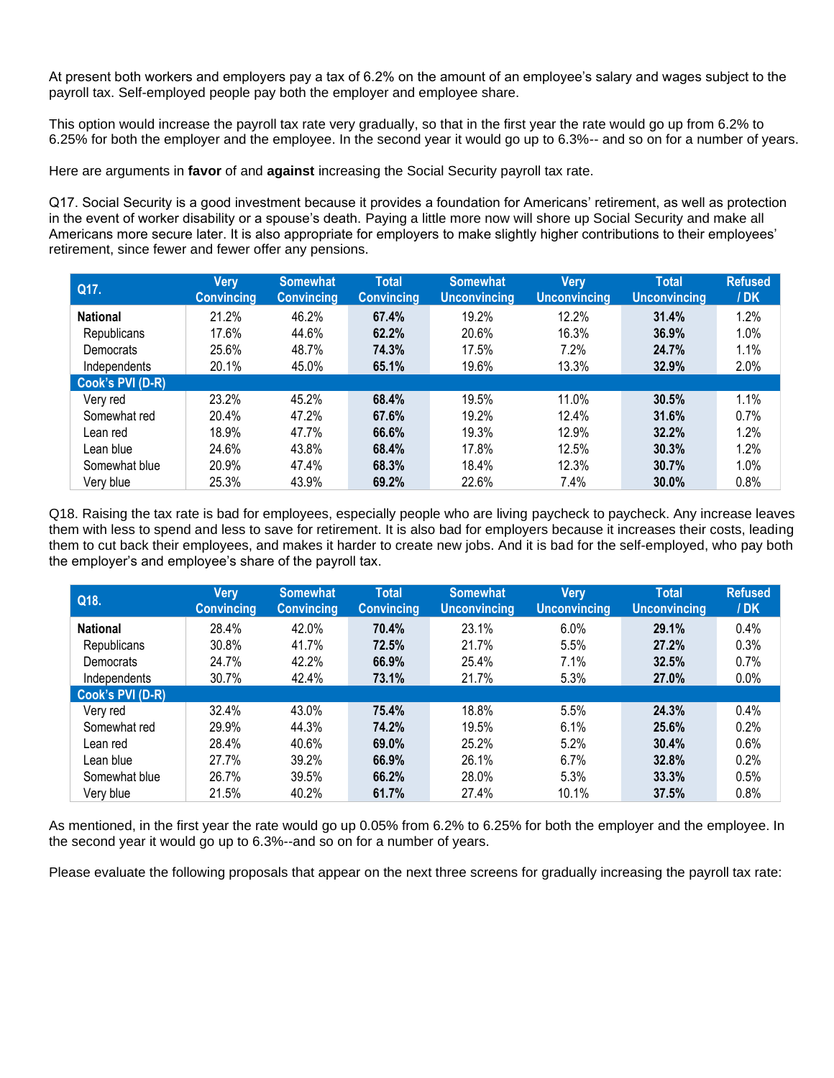At present both workers and employers pay a tax of 6.2% on the amount of an employee's salary and wages subject to the payroll tax. Self-employed people pay both the employer and employee share.

This option would increase the payroll tax rate very gradually, so that in the first year the rate would go up from 6.2% to 6.25% for both the employer and the employee. In the second year it would go up to 6.3%-- and so on for a number of years.

Here are arguments in **favor** of and **against** increasing the Social Security payroll tax rate.

Q17. Social Security is a good investment because it provides a foundation for Americans' retirement, as well as protection in the event of worker disability or a spouse's death. Paying a little more now will shore up Social Security and make all Americans more secure later. It is also appropriate for employers to make slightly higher contributions to their employees' retirement, since fewer and fewer offer any pensions.

| Q17.             | <b>Very</b><br><b>Convincing</b> | <b>Somewhat</b><br><b>Convincing</b> | <b>Total</b><br><b>Convincing</b> | <b>Somewhat</b><br><b>Unconvincing</b> | <b>Very</b><br><b>Unconvincing</b> | <b>Total</b><br><b>Unconvincing</b> | <b>Refused</b><br>/DK |
|------------------|----------------------------------|--------------------------------------|-----------------------------------|----------------------------------------|------------------------------------|-------------------------------------|-----------------------|
| <b>National</b>  | 21.2%                            | 46.2%                                | 67.4%                             | 19.2%                                  | 12.2%                              | 31.4%                               | 1.2%                  |
| Republicans      | 17.6%                            | 44.6%                                | 62.2%                             | 20.6%                                  | 16.3%                              | 36.9%                               | 1.0%                  |
| Democrats        | 25.6%                            | 48.7%                                | 74.3%                             | 17.5%                                  | 7.2%                               | 24.7%                               | 1.1%                  |
| Independents     | 20.1%                            | 45.0%                                | 65.1%                             | 19.6%                                  | 13.3%                              | 32.9%                               | 2.0%                  |
| Cook's PVI (D-R) |                                  |                                      |                                   |                                        |                                    |                                     |                       |
| Very red         | 23.2%                            | 45.2%                                | 68.4%                             | 19.5%                                  | 11.0%                              | 30.5%                               | 1.1%                  |
| Somewhat red     | 20.4%                            | 47.2%                                | 67.6%                             | 19.2%                                  | 12.4%                              | 31.6%                               | 0.7%                  |
| Lean red         | 18.9%                            | 47.7%                                | 66.6%                             | 19.3%                                  | 12.9%                              | 32.2%                               | 1.2%                  |
| Lean blue        | 24.6%                            | 43.8%                                | 68.4%                             | 17.8%                                  | 12.5%                              | 30.3%                               | 1.2%                  |
| Somewhat blue    | 20.9%                            | 47.4%                                | 68.3%                             | 18.4%                                  | 12.3%                              | 30.7%                               | 1.0%                  |
| Very blue        | 25.3%                            | 43.9%                                | 69.2%                             | 22.6%                                  | 7.4%                               | 30.0%                               | 0.8%                  |

Q18. Raising the tax rate is bad for employees, especially people who are living paycheck to paycheck. Any increase leaves them with less to spend and less to save for retirement. It is also bad for employers because it increases their costs, leading them to cut back their employees, and makes it harder to create new jobs. And it is bad for the self-employed, who pay both the employer's and employee's share of the payroll tax.

| Q18.             | Very<br><b>Convincing</b> | <b>Somewhat</b><br><b>Convincing</b> | <b>Total</b><br><b>Convincing</b> | <b>Somewhat</b><br><b>Unconvincing</b> | <b>Very</b><br><b>Unconvincing</b> | <b>Total</b><br><b>Unconvincing</b> | <b>Refused</b><br>/ <b>DK</b> |
|------------------|---------------------------|--------------------------------------|-----------------------------------|----------------------------------------|------------------------------------|-------------------------------------|-------------------------------|
| <b>National</b>  | 28.4%                     | 42.0%                                | 70.4%                             | 23.1%                                  | 6.0%                               | 29.1%                               | 0.4%                          |
| Republicans      | 30.8%                     | 41.7%                                | 72.5%                             | 21.7%                                  | 5.5%                               | 27.2%                               | 0.3%                          |
| Democrats        | 24.7%                     | 42.2%                                | 66.9%                             | 25.4%                                  | 7.1%                               | 32.5%                               | 0.7%                          |
| Independents     | 30.7%                     | 42.4%                                | 73.1%                             | 21.7%                                  | 5.3%                               | 27.0%                               | 0.0%                          |
| Cook's PVI (D-R) |                           |                                      |                                   |                                        |                                    |                                     |                               |
| Very red         | 32.4%                     | 43.0%                                | 75.4%                             | 18.8%                                  | 5.5%                               | 24.3%                               | 0.4%                          |
| Somewhat red     | 29.9%                     | 44.3%                                | 74.2%                             | 19.5%                                  | 6.1%                               | 25.6%                               | 0.2%                          |
| Lean red         | 28.4%                     | 40.6%                                | 69.0%                             | 25.2%                                  | 5.2%                               | 30.4%                               | 0.6%                          |
| Lean blue        | 27.7%                     | 39.2%                                | 66.9%                             | 26.1%                                  | 6.7%                               | 32.8%                               | 0.2%                          |
| Somewhat blue    | 26.7%                     | 39.5%                                | 66.2%                             | 28.0%                                  | 5.3%                               | 33.3%                               | 0.5%                          |
| Verv blue        | 21.5%                     | 40.2%                                | 61.7%                             | 27.4%                                  | 10.1%                              | 37.5%                               | 0.8%                          |

As mentioned, in the first year the rate would go up 0.05% from 6.2% to 6.25% for both the employer and the employee. In the second year it would go up to 6.3%--and so on for a number of years.

Please evaluate the following proposals that appear on the next three screens for gradually increasing the payroll tax rate: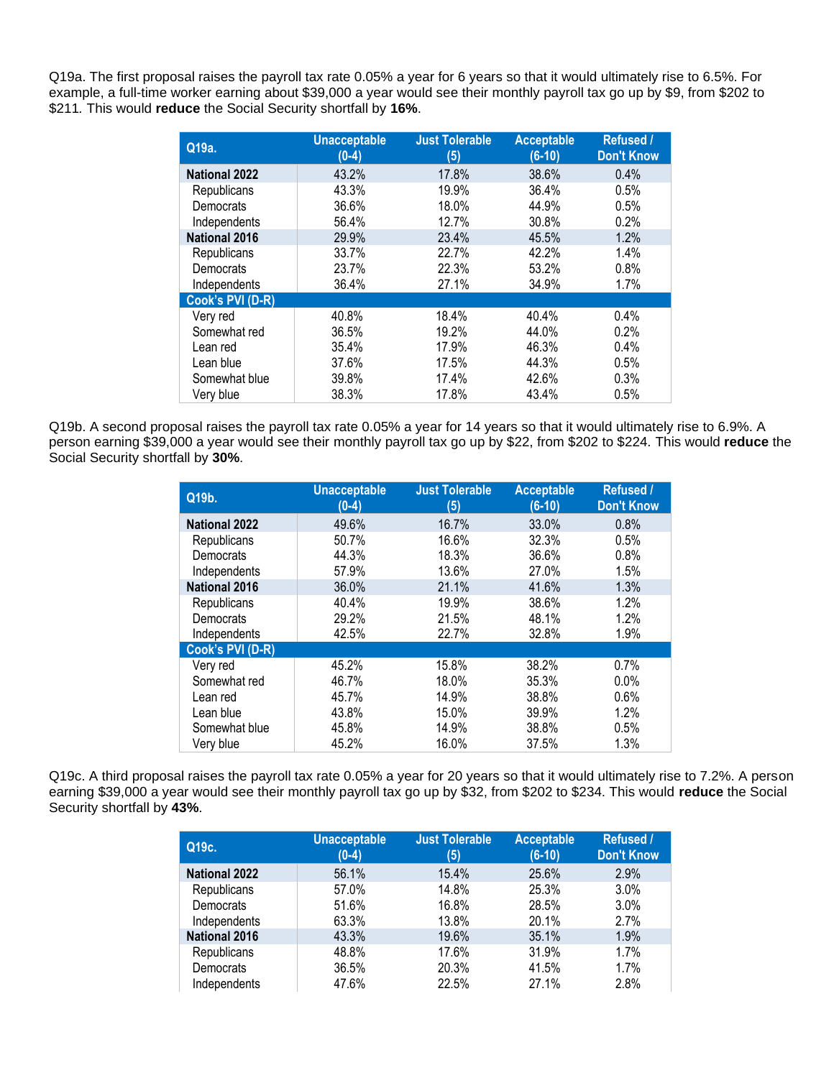Q19a. The first proposal raises the payroll tax rate 0.05% a year for 6 years so that it would ultimately rise to 6.5%. For example, a full-time worker earning about \$39,000 a year would see their monthly payroll tax go up by \$9, from \$202 to \$211*.* This would **reduce** the Social Security shortfall by **16%**.

| Q19a.                | <b>Unacceptable</b><br>$(0-4)$ | <b>Just Tolerable</b><br>(5) | <b>Acceptable</b><br>$(6-10)$ | Refused /<br><b>Don't Know</b> |
|----------------------|--------------------------------|------------------------------|-------------------------------|--------------------------------|
| <b>National 2022</b> | 43.2%                          | 17.8%                        | 38.6%                         | 0.4%                           |
| Republicans          | 43.3%                          | 19.9%                        | 36.4%                         | 0.5%                           |
| Democrats            | 36.6%                          | 18.0%                        | 44.9%                         | 0.5%                           |
| Independents         | 56.4%                          | 12.7%                        | 30.8%                         | 0.2%                           |
| <b>National 2016</b> | 29.9%                          | 23.4%                        | 45.5%                         | 1.2%                           |
| Republicans          | 33.7%                          | 22.7%                        | 42.2%                         | 1.4%                           |
| Democrats            | 23.7%                          | 22.3%                        | 53.2%                         | 0.8%                           |
| Independents         | 36.4%                          | 27.1%                        | 34.9%                         | 1.7%                           |
| Cook's PVI (D-R)     |                                |                              |                               |                                |
| Very red             | 40.8%                          | 18.4%                        | 40.4%                         | 0.4%                           |
| Somewhat red         | 36.5%                          | 19.2%                        | 44.0%                         | 0.2%                           |
| Lean red             | 35.4%                          | 17.9%                        | 46.3%                         | 0.4%                           |
| Lean blue            | 37.6%                          | 17.5%                        | 44.3%                         | 0.5%                           |
| Somewhat blue        | 39.8%                          | 17.4%                        | 42.6%                         | 0.3%                           |
| Very blue            | 38.3%                          | 17.8%                        | 43.4%                         | 0.5%                           |

Q19b. A second proposal raises the payroll tax rate 0.05% a year for 14 years so that it would ultimately rise to 6.9%. A person earning \$39,000 a year would see their monthly payroll tax go up by \$22, from \$202 to \$224*.* This would **reduce** the Social Security shortfall by **30%**.

| Q19b.                | <b>Unacceptable</b><br>$(0-4)$ | <b>Just Tolerable</b><br>(5) | <b>Acceptable</b><br>$(6-10)$ | Refused /<br><b>Don't Know</b> |
|----------------------|--------------------------------|------------------------------|-------------------------------|--------------------------------|
| <b>National 2022</b> | 49.6%                          | 16.7%                        | 33.0%                         | 0.8%                           |
| Republicans          | 50.7%                          | 16.6%                        | 32.3%                         | 0.5%                           |
| Democrats            | 44.3%                          | 18.3%                        | 36.6%                         | 0.8%                           |
| Independents         | 57.9%                          | 13.6%                        | 27.0%                         | 1.5%                           |
| <b>National 2016</b> | 36.0%                          | 21.1%                        | 41.6%                         | 1.3%                           |
| Republicans          | 40.4%                          | 19.9%                        | 38.6%                         | 1.2%                           |
| Democrats            | 29.2%                          | 21.5%                        | 48.1%                         | 1.2%                           |
| Independents         | 42.5%                          | 22.7%                        | 32.8%                         | 1.9%                           |
| Cook's PVI (D-R)     |                                |                              |                               |                                |
| Very red             | 45.2%                          | 15.8%                        | 38.2%                         | 0.7%                           |
| Somewhat red         | 46.7%                          | 18.0%                        | 35.3%                         | 0.0%                           |
| Lean red             | 45.7%                          | 14.9%                        | 38.8%                         | 0.6%                           |
| Lean blue            | 43.8%                          | 15.0%                        | 39.9%                         | 1.2%                           |
| Somewhat blue        | 45.8%                          | 14.9%                        | 38.8%                         | 0.5%                           |
| Very blue            | 45.2%                          | 16.0%                        | 37.5%                         | 1.3%                           |

Q19c. A third proposal raises the payroll tax rate 0.05% a year for 20 years so that it would ultimately rise to 7.2%. A person earning \$39,000 a year would see their monthly payroll tax go up by \$32, from \$202 to \$234. This would **reduce** the Social Security shortfall by **43%**.

| Q19c.                | <b>Unacceptable</b><br>$(0-4)$ | <b>Just Tolerable</b><br>(5) | <b>Acceptable</b><br>$(6-10)$ | <b>Refused /</b><br><b>Don't Know</b> |
|----------------------|--------------------------------|------------------------------|-------------------------------|---------------------------------------|
| <b>National 2022</b> | 56.1%                          | 15.4%                        | 25.6%                         | 2.9%                                  |
| Republicans          | 57.0%                          | 14.8%                        | 25.3%                         | 3.0%                                  |
| Democrats            | 51.6%                          | 16.8%                        | 28.5%                         | 3.0%                                  |
| Independents         | 63.3%                          | 13.8%                        | 20.1%                         | 2.7%                                  |
| <b>National 2016</b> | 43.3%                          | 19.6%                        | 35.1%                         | 1.9%                                  |
| Republicans          | 48.8%                          | 17.6%                        | 31.9%                         | 1.7%                                  |
| Democrats            | 36.5%                          | 20.3%                        | 41.5%                         | 1.7%                                  |
| Independents         | 47.6%                          | 22.5%                        | 27.1%                         | 2.8%                                  |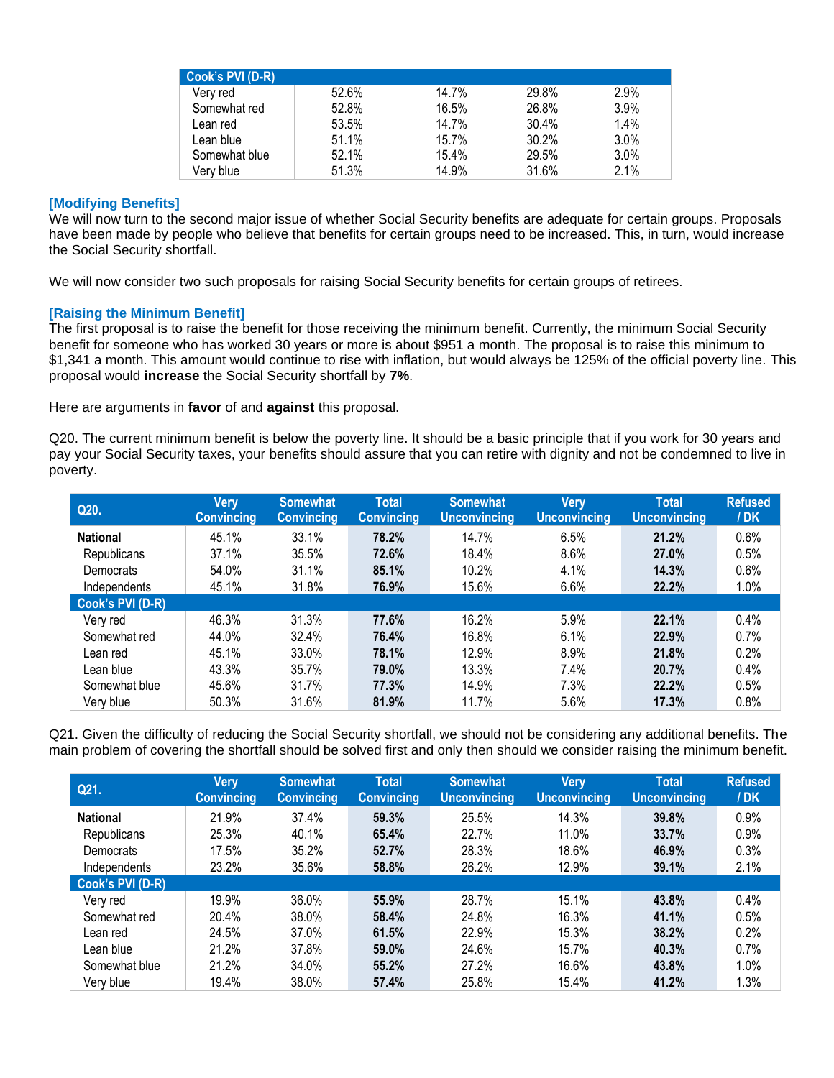| Cook's PVI (D-R) |       |       |       |      |
|------------------|-------|-------|-------|------|
| Verv red         | 52.6% | 14.7% | 29.8% | 2.9% |
| Somewhat red     | 52.8% | 16.5% | 26.8% | 3.9% |
| Lean red         | 53.5% | 14.7% | 30.4% | 1.4% |
| Lean blue        | 51.1% | 15.7% | 30.2% | 3.0% |
| Somewhat blue    | 52.1% | 15.4% | 29.5% | 3.0% |
| Very blue        | 51.3% | 14.9% | 31.6% | 2.1% |

#### **[Modifying Benefits]**

We will now turn to the second major issue of whether Social Security benefits are adequate for certain groups. Proposals have been made by people who believe that benefits for certain groups need to be increased. This, in turn, would increase the Social Security shortfall.

We will now consider two such proposals for raising Social Security benefits for certain groups of retirees.

#### **[Raising the Minimum Benefit]**

The first proposal is to raise the benefit for those receiving the minimum benefit. Currently, the minimum Social Security benefit for someone who has worked 30 years or more is about \$951 a month. The proposal is to raise this minimum to \$1,341 a month. This amount would continue to rise with inflation, but would always be 125% of the official poverty line. This proposal would **increase** the Social Security shortfall by **7%**.

Here are arguments in **favor** of and **against** this proposal.

Q20. The current minimum benefit is below the poverty line. It should be a basic principle that if you work for 30 years and pay your Social Security taxes, your benefits should assure that you can retire with dignity and not be condemned to live in poverty.

| Q20.             | <b>Very</b><br><b>Convincing</b> | <b>Somewhat</b><br><b>Convincing</b> | <b>Total</b><br><b>Convincing</b> | <b>Somewhat</b><br><b>Unconvincing</b> | Very<br><b>Unconvincing</b> | <b>Total</b><br><b>Unconvincing</b> | <b>Refused</b><br>/DK |
|------------------|----------------------------------|--------------------------------------|-----------------------------------|----------------------------------------|-----------------------------|-------------------------------------|-----------------------|
| <b>National</b>  | 45.1%                            | 33.1%                                | 78.2%                             | 14.7%                                  | 6.5%                        | 21.2%                               | 0.6%                  |
| Republicans      | 37.1%                            | 35.5%                                | 72.6%                             | 18.4%                                  | 8.6%                        | 27.0%                               | 0.5%                  |
| Democrats        | 54.0%                            | 31.1%                                | 85.1%                             | 10.2%                                  | 4.1%                        | 14.3%                               | 0.6%                  |
| Independents     | 45.1%                            | 31.8%                                | 76.9%                             | 15.6%                                  | 6.6%                        | 22.2%                               | 1.0%                  |
| Cook's PVI (D-R) |                                  |                                      |                                   |                                        |                             |                                     |                       |
| Very red         | 46.3%                            | 31.3%                                | 77.6%                             | 16.2%                                  | 5.9%                        | 22.1%                               | 0.4%                  |
| Somewhat red     | 44.0%                            | 32.4%                                | 76.4%                             | 16.8%                                  | 6.1%                        | 22.9%                               | 0.7%                  |
| Lean red         | 45.1%                            | 33.0%                                | 78.1%                             | 12.9%                                  | 8.9%                        | 21.8%                               | 0.2%                  |
| Lean blue        | 43.3%                            | 35.7%                                | 79.0%                             | 13.3%                                  | 7.4%                        | 20.7%                               | 0.4%                  |
| Somewhat blue    | 45.6%                            | 31.7%                                | 77.3%                             | 14.9%                                  | 7.3%                        | 22.2%                               | 0.5%                  |
| Very blue        | 50.3%                            | 31.6%                                | 81.9%                             | 11.7%                                  | 5.6%                        | 17.3%                               | 0.8%                  |

Q21. Given the difficulty of reducing the Social Security shortfall, we should not be considering any additional benefits. The main problem of covering the shortfall should be solved first and only then should we consider raising the minimum benefit.

| Q21.             | Very<br><b>Convincing</b> | <b>Somewhat</b><br><b>Convincing</b> | <b>Total</b><br><b>Convincing</b> | <b>Somewhat</b><br><b>Unconvincing</b> | Very<br><b>Unconvincing</b> | <b>Total</b><br><b>Unconvincing</b> | <b>Refused</b><br>/DK |
|------------------|---------------------------|--------------------------------------|-----------------------------------|----------------------------------------|-----------------------------|-------------------------------------|-----------------------|
| <b>National</b>  | 21.9%                     | 37.4%                                | 59.3%                             | 25.5%                                  | 14.3%                       | 39.8%                               | 0.9%                  |
| Republicans      | 25.3%                     | 40.1%                                | 65.4%                             | 22.7%                                  | 11.0%                       | 33.7%                               | 0.9%                  |
| Democrats        | 17.5%                     | 35.2%                                | 52.7%                             | 28.3%                                  | 18.6%                       | 46.9%                               | 0.3%                  |
| Independents     | 23.2%                     | 35.6%                                | 58.8%                             | 26.2%                                  | 12.9%                       | 39.1%                               | 2.1%                  |
| Cook's PVI (D-R) |                           |                                      |                                   |                                        |                             |                                     |                       |
| Very red         | 19.9%                     | 36.0%                                | 55.9%                             | 28.7%                                  | 15.1%                       | 43.8%                               | 0.4%                  |
| Somewhat red     | 20.4%                     | 38.0%                                | 58.4%                             | 24.8%                                  | 16.3%                       | 41.1%                               | 0.5%                  |
| Lean red         | 24.5%                     | 37.0%                                | 61.5%                             | 22.9%                                  | 15.3%                       | 38.2%                               | 0.2%                  |
| Lean blue        | 21.2%                     | 37.8%                                | 59.0%                             | 24.6%                                  | 15.7%                       | 40.3%                               | 0.7%                  |
| Somewhat blue    | 21.2%                     | 34.0%                                | 55.2%                             | 27.2%                                  | 16.6%                       | 43.8%                               | 1.0%                  |
| Very blue        | 19.4%                     | 38.0%                                | 57.4%                             | 25.8%                                  | 15.4%                       | 41.2%                               | 1.3%                  |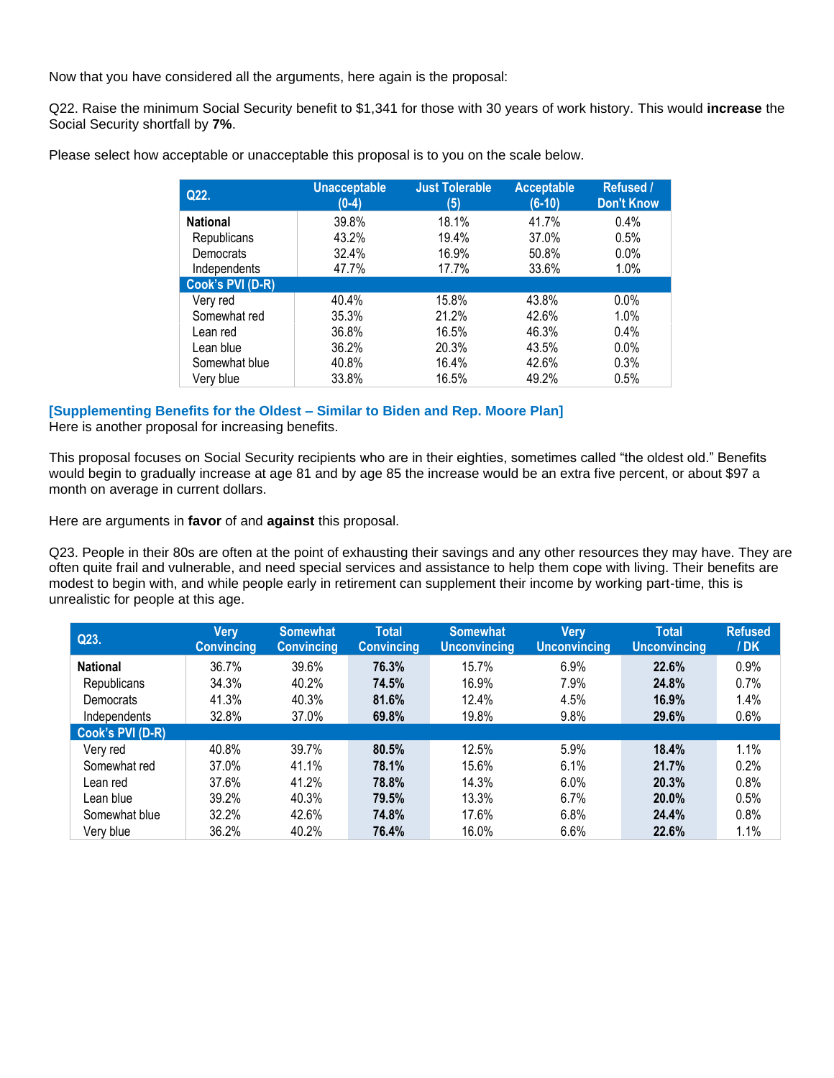Now that you have considered all the arguments, here again is the proposal:

Q22. Raise the minimum Social Security benefit to \$1,341 for those with 30 years of work history. This would **increase** the Social Security shortfall by **7%**.

| Q22.             | <b>Unacceptable</b><br>$(0-4)$ | <b>Just Tolerable</b><br>(5) | <b>Acceptable</b><br>$(6-10)$ | <b>Refused /</b><br><b>Don't Know</b> |
|------------------|--------------------------------|------------------------------|-------------------------------|---------------------------------------|
| <b>National</b>  | 39.8%                          | 18.1%                        | 41.7%                         | $0.4\%$                               |
| Republicans      | 43.2%                          | 19.4%                        | 37.0%                         | 0.5%                                  |
| Democrats        | 32.4%                          | 16.9%                        | 50.8%                         | 0.0%                                  |
| Independents     | 47.7%                          | 17.7%                        | 33.6%                         | 1.0%                                  |
| Cook's PVI (D-R) |                                |                              |                               |                                       |
| Very red         | 40.4%                          | 15.8%                        | 43.8%                         | $0.0\%$                               |
| Somewhat red     | 35.3%                          | 21.2%                        | 42.6%                         | 1.0%                                  |
| Lean red         | 36.8%                          | 16.5%                        | 46.3%                         | $0.4\%$                               |
| Lean blue        | 36.2%                          | 20.3%                        | 43.5%                         | 0.0%                                  |
| Somewhat blue    | 40.8%                          | 16.4%                        | 42.6%                         | 0.3%                                  |
| Very blue        | 33.8%                          | 16.5%                        | 49.2%                         | 0.5%                                  |

Please select how acceptable or unacceptable this proposal is to you on the scale below.

#### **[Supplementing Benefits for the Oldest – Similar to Biden and Rep. Moore Plan]**

Here is another proposal for increasing benefits.

This proposal focuses on Social Security recipients who are in their eighties, sometimes called "the oldest old." Benefits would begin to gradually increase at age 81 and by age 85 the increase would be an extra five percent, or about \$97 a month on average in current dollars.

Here are arguments in **favor** of and **against** this proposal.

Q23. People in their 80s are often at the point of exhausting their savings and any other resources they may have. They are often quite frail and vulnerable, and need special services and assistance to help them cope with living. Their benefits are modest to begin with, and while people early in retirement can supplement their income by working part-time, this is unrealistic for people at this age.

| Q23.             | Very<br><b>Convincing</b> | <b>Somewhat</b><br><b>Convincing</b> | <b>Total</b><br><b>Convincing</b> | <b>Somewhat</b><br><b>Unconvincing</b> | <b>Very</b><br><b>Unconvincing</b> | <b>Total</b><br><b>Unconvincing</b> | <b>Refused</b><br>/DK |
|------------------|---------------------------|--------------------------------------|-----------------------------------|----------------------------------------|------------------------------------|-------------------------------------|-----------------------|
| <b>National</b>  | 36.7%                     | 39.6%                                | 76.3%                             | 15.7%                                  | 6.9%                               | 22.6%                               | 0.9%                  |
| Republicans      | 34.3%                     | 40.2%                                | 74.5%                             | 16.9%                                  | 7.9%                               | 24.8%                               | 0.7%                  |
| Democrats        | 41.3%                     | 40.3%                                | 81.6%                             | 12.4%                                  | 4.5%                               | 16.9%                               | 1.4%                  |
| Independents     | 32.8%                     | 37.0%                                | 69.8%                             | 19.8%                                  | 9.8%                               | 29.6%                               | 0.6%                  |
| Cook's PVI (D-R) |                           |                                      |                                   |                                        |                                    |                                     |                       |
| Very red         | 40.8%                     | 39.7%                                | 80.5%                             | 12.5%                                  | 5.9%                               | 18.4%                               | 1.1%                  |
| Somewhat red     | 37.0%                     | 41.1%                                | 78.1%                             | 15.6%                                  | 6.1%                               | 21.7%                               | 0.2%                  |
| Lean red         | 37.6%                     | 41.2%                                | 78.8%                             | 14.3%                                  | 6.0%                               | 20.3%                               | 0.8%                  |
| Lean blue        | 39.2%                     | 40.3%                                | 79.5%                             | 13.3%                                  | 6.7%                               | 20.0%                               | 0.5%                  |
| Somewhat blue    | 32.2%                     | 42.6%                                | 74.8%                             | 17.6%                                  | 6.8%                               | 24.4%                               | 0.8%                  |
| Very blue        | 36.2%                     | 40.2%                                | 76.4%                             | 16.0%                                  | 6.6%                               | 22.6%                               | 1.1%                  |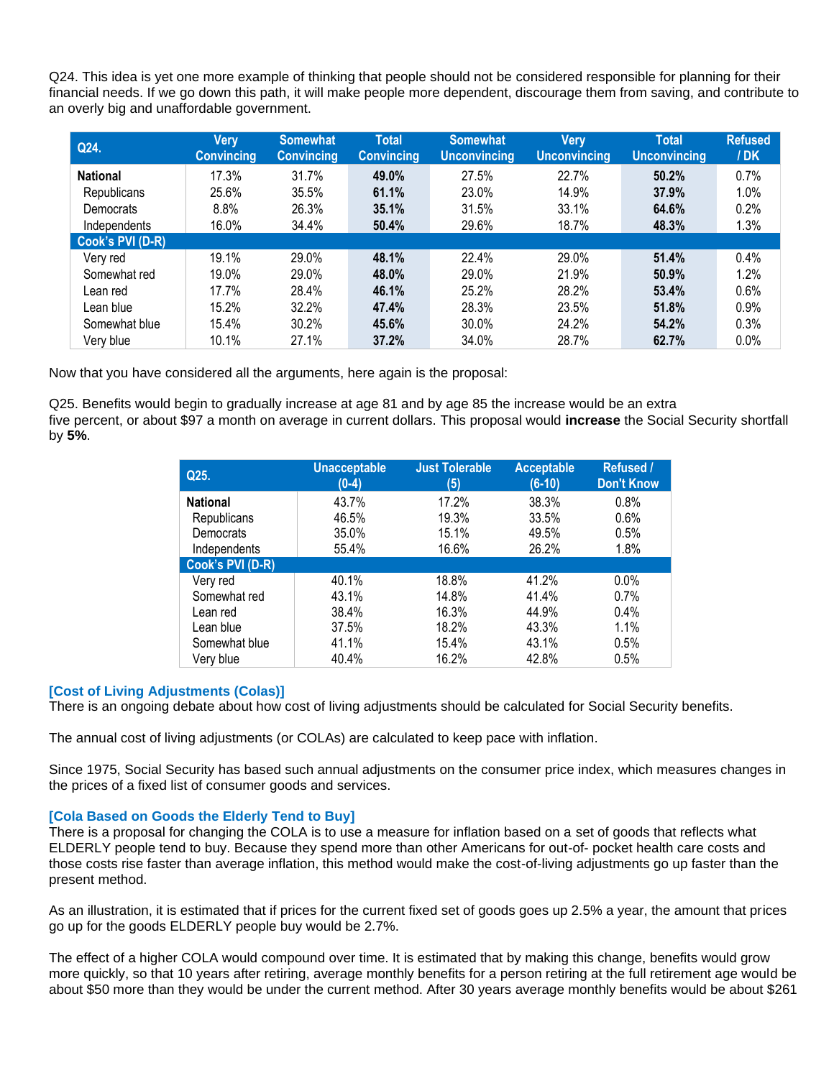Q24. This idea is yet one more example of thinking that people should not be considered responsible for planning for their financial needs. If we go down this path, it will make people more dependent, discourage them from saving, and contribute to an overly big and unaffordable government.

| Q24.             | <b>Very</b><br><b>Convincing</b> | <b>Somewhat</b><br><b>Convincing</b> | <b>Total</b><br><b>Convincing</b> | <b>Somewhat</b><br><b>Unconvincing</b> | <b>Very</b><br><b>Unconvincing</b> | <b>Total</b><br><b>Unconvincing</b> | <b>Refused</b><br>/DK |
|------------------|----------------------------------|--------------------------------------|-----------------------------------|----------------------------------------|------------------------------------|-------------------------------------|-----------------------|
| <b>National</b>  | 17.3%                            | 31.7%                                | 49.0%                             | 27.5%                                  | 22.7%                              | 50.2%                               | 0.7%                  |
| Republicans      | 25.6%                            | 35.5%                                | 61.1%                             | 23.0%                                  | 14.9%                              | 37.9%                               | 1.0%                  |
| Democrats        | 8.8%                             | 26.3%                                | 35.1%                             | 31.5%                                  | 33.1%                              | 64.6%                               | 0.2%                  |
| Independents     | 16.0%                            | 34.4%                                | 50.4%                             | 29.6%                                  | 18.7%                              | 48.3%                               | 1.3%                  |
| Cook's PVI (D-R) |                                  |                                      |                                   |                                        |                                    |                                     |                       |
| Very red         | 19.1%                            | 29.0%                                | 48.1%                             | 22.4%                                  | 29.0%                              | 51.4%                               | 0.4%                  |
| Somewhat red     | 19.0%                            | 29.0%                                | 48.0%                             | 29.0%                                  | 21.9%                              | 50.9%                               | 1.2%                  |
| Lean red         | 17.7%                            | 28.4%                                | 46.1%                             | 25.2%                                  | 28.2%                              | 53.4%                               | 0.6%                  |
| Lean blue        | 15.2%                            | 32.2%                                | 47.4%                             | 28.3%                                  | 23.5%                              | 51.8%                               | 0.9%                  |
| Somewhat blue    | 15.4%                            | 30.2%                                | 45.6%                             | 30.0%                                  | 24.2%                              | 54.2%                               | 0.3%                  |
| Very blue        | 10.1%                            | 27.1%                                | 37.2%                             | 34.0%                                  | 28.7%                              | 62.7%                               | 0.0%                  |

Now that you have considered all the arguments, here again is the proposal:

Q25. Benefits would begin to gradually increase at age 81 and by age 85 the increase would be an extra five percent, or about \$97 a month on average in current dollars. This proposal would **increase** the Social Security shortfall by **5%**.

| Q25.             | <b>Unacceptable</b><br>$(0-4)$ | <b>Just Tolerable</b><br>(5) | <b>Acceptable</b><br>$(6-10)$ | <b>Refused /</b><br><b>Don't Know</b> |
|------------------|--------------------------------|------------------------------|-------------------------------|---------------------------------------|
| <b>National</b>  | 43.7%                          | 17.2%                        | 38.3%                         | 0.8%                                  |
| Republicans      | 46.5%                          | 19.3%                        | 33.5%                         | 0.6%                                  |
| Democrats        | 35.0%                          | 15.1%                        | 49.5%                         | 0.5%                                  |
| Independents     | 55.4%                          | 16.6%                        | 26.2%                         | 1.8%                                  |
| Cook's PVI (D-R) |                                |                              |                               |                                       |
| Very red         | 40.1%                          | 18.8%                        | 41.2%                         | 0.0%                                  |
| Somewhat red     | 43.1%                          | 14.8%                        | 41.4%                         | 0.7%                                  |
| Lean red         | 38.4%                          | 16.3%                        | 44.9%                         | 0.4%                                  |
| Lean blue        | 37.5%                          | 18.2%                        | 43.3%                         | 1.1%                                  |
| Somewhat blue    | 41.1%                          | 15.4%                        | 43.1%                         | 0.5%                                  |
| Very blue        | 40.4%                          | 16.2%                        | 42.8%                         | 0.5%                                  |

## **[Cost of Living Adjustments (Colas)]**

There is an ongoing debate about how cost of living adjustments should be calculated for Social Security benefits.

The annual cost of living adjustments (or COLAs) are calculated to keep pace with inflation.

Since 1975, Social Security has based such annual adjustments on the consumer price index, which measures changes in the prices of a fixed list of consumer goods and services.

## **[Cola Based on Goods the Elderly Tend to Buy]**

There is a proposal for changing the COLA is to use a measure for inflation based on a set of goods that reflects what ELDERLY people tend to buy. Because they spend more than other Americans for out-of- pocket health care costs and those costs rise faster than average inflation, this method would make the cost-of-living adjustments go up faster than the present method.

As an illustration, it is estimated that if prices for the current fixed set of goods goes up 2.5% a year, the amount that prices go up for the goods ELDERLY people buy would be 2.7%.

The effect of a higher COLA would compound over time. It is estimated that by making this change, benefits would grow more quickly, so that 10 years after retiring, average monthly benefits for a person retiring at the full retirement age would be about \$50 more than they would be under the current method. After 30 years average monthly benefits would be about \$261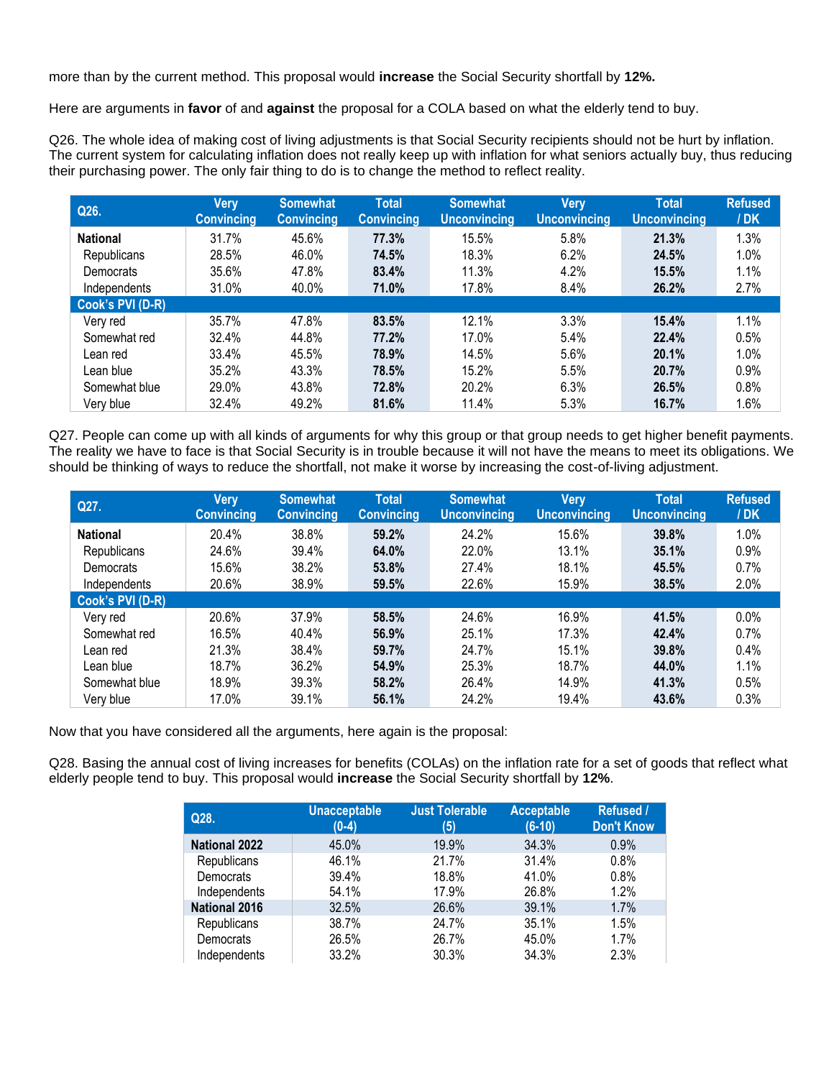more than by the current method. This proposal would **increase** the Social Security shortfall by **12%.**

Here are arguments in **favor** of and **against** the proposal for a COLA based on what the elderly tend to buy.

Q26. The whole idea of making cost of living adjustments is that Social Security recipients should not be hurt by inflation. The current system for calculating inflation does not really keep up with inflation for what seniors actually buy, thus reducing their purchasing power. The only fair thing to do is to change the method to reflect reality.

| Q26.             | Very<br><b>Convincing</b> | <b>Somewhat</b><br><b>Convincing</b> | <b>Total</b><br><b>Convincing</b> | <b>Somewhat</b><br><b>Unconvincing</b> | <b>Very</b><br><b>Unconvincing</b> | <b>Total</b><br><b>Unconvincing</b> | <b>Refused</b><br>/DK |
|------------------|---------------------------|--------------------------------------|-----------------------------------|----------------------------------------|------------------------------------|-------------------------------------|-----------------------|
| <b>National</b>  | 31.7%                     | 45.6%                                | 77.3%                             | 15.5%                                  | 5.8%                               | 21.3%                               | 1.3%                  |
| Republicans      | 28.5%                     | 46.0%                                | 74.5%                             | 18.3%                                  | 6.2%                               | 24.5%                               | 1.0%                  |
| Democrats        | 35.6%                     | 47.8%                                | 83.4%                             | 11.3%                                  | 4.2%                               | 15.5%                               | 1.1%                  |
| Independents     | 31.0%                     | 40.0%                                | 71.0%                             | 17.8%                                  | 8.4%                               | 26.2%                               | 2.7%                  |
| Cook's PVI (D-R) |                           |                                      |                                   |                                        |                                    |                                     |                       |
| Very red         | 35.7%                     | 47.8%                                | 83.5%                             | 12.1%                                  | 3.3%                               | 15.4%                               | 1.1%                  |
| Somewhat red     | 32.4%                     | 44.8%                                | 77.2%                             | 17.0%                                  | 5.4%                               | 22.4%                               | 0.5%                  |
| Lean red         | 33.4%                     | 45.5%                                | 78.9%                             | 14.5%                                  | 5.6%                               | 20.1%                               | 1.0%                  |
| Lean blue        | 35.2%                     | 43.3%                                | 78.5%                             | 15.2%                                  | 5.5%                               | 20.7%                               | 0.9%                  |
| Somewhat blue    | 29.0%                     | 43.8%                                | 72.8%                             | 20.2%                                  | 6.3%                               | 26.5%                               | 0.8%                  |
| Very blue        | 32.4%                     | 49.2%                                | 81.6%                             | 11.4%                                  | 5.3%                               | 16.7%                               | 1.6%                  |

Q27. People can come up with all kinds of arguments for why this group or that group needs to get higher benefit payments. The reality we have to face is that Social Security is in trouble because it will not have the means to meet its obligations. We should be thinking of ways to reduce the shortfall, not make it worse by increasing the cost-of-living adjustment.

| Q27.             | Very<br><b>Convincing</b> | <b>Somewhat</b><br><b>Convincing</b> | <b>Total</b><br><b>Convincing</b> | <b>Somewhat</b><br><b>Unconvincing</b> | Very<br><b>Unconvincing</b> | <b>Total</b><br><b>Unconvincing</b> | <b>Refused</b><br>/DK |
|------------------|---------------------------|--------------------------------------|-----------------------------------|----------------------------------------|-----------------------------|-------------------------------------|-----------------------|
| <b>National</b>  | 20.4%                     | 38.8%                                | 59.2%                             | 24.2%                                  | 15.6%                       | 39.8%                               | 1.0%                  |
| Republicans      | 24.6%                     | 39.4%                                | 64.0%                             | 22.0%                                  | 13.1%                       | 35.1%                               | 0.9%                  |
| Democrats        | 15.6%                     | 38.2%                                | 53.8%                             | 27.4%                                  | 18.1%                       | 45.5%                               | 0.7%                  |
| Independents     | 20.6%                     | 38.9%                                | 59.5%                             | 22.6%                                  | 15.9%                       | 38.5%                               | 2.0%                  |
| Cook's PVI (D-R) |                           |                                      |                                   |                                        |                             |                                     |                       |
| Very red         | 20.6%                     | 37.9%                                | 58.5%                             | 24.6%                                  | 16.9%                       | 41.5%                               | $0.0\%$               |
| Somewhat red     | 16.5%                     | 40.4%                                | 56.9%                             | 25.1%                                  | 17.3%                       | 42.4%                               | 0.7%                  |
| Lean red         | 21.3%                     | 38.4%                                | 59.7%                             | 24.7%                                  | 15.1%                       | 39.8%                               | 0.4%                  |
| Lean blue        | 18.7%                     | 36.2%                                | 54.9%                             | 25.3%                                  | 18.7%                       | 44.0%                               | 1.1%                  |
| Somewhat blue    | 18.9%                     | 39.3%                                | 58.2%                             | 26.4%                                  | 14.9%                       | 41.3%                               | 0.5%                  |
| Very blue        | 17.0%                     | 39.1%                                | 56.1%                             | 24.2%                                  | 19.4%                       | 43.6%                               | 0.3%                  |

Now that you have considered all the arguments, here again is the proposal:

Q28. Basing the annual cost of living increases for benefits (COLAs) on the inflation rate for a set of goods that reflect what elderly people tend to buy. This proposal would **increase** the Social Security shortfall by **12%**.

| Q28.                 | <b>Unacceptable</b><br>$(0-4)$ | <b>Just Tolerable</b><br>(5) | <b>Acceptable</b><br>$(6-10)$ | <b>Refused /</b><br><b>Don't Know</b> |
|----------------------|--------------------------------|------------------------------|-------------------------------|---------------------------------------|
| <b>National 2022</b> | 45.0%                          | 19.9%                        | 34.3%                         | 0.9%                                  |
| Republicans          | 46.1%                          | 21.7%                        | 31.4%                         | 0.8%                                  |
| Democrats            | 39.4%                          | 18.8%                        | 41.0%                         | 0.8%                                  |
| Independents         | 54.1%                          | 17.9%                        | 26.8%                         | 1.2%                                  |
| <b>National 2016</b> | 32.5%                          | 26.6%                        | 39.1%                         | 1.7%                                  |
| Republicans          | 38.7%                          | 24.7%                        | 35.1%                         | 1.5%                                  |
| Democrats            | 26.5%                          | 26.7%                        | 45.0%                         | 1.7%                                  |
| Independents         | 33.2%                          | 30.3%                        | 34.3%                         | 2.3%                                  |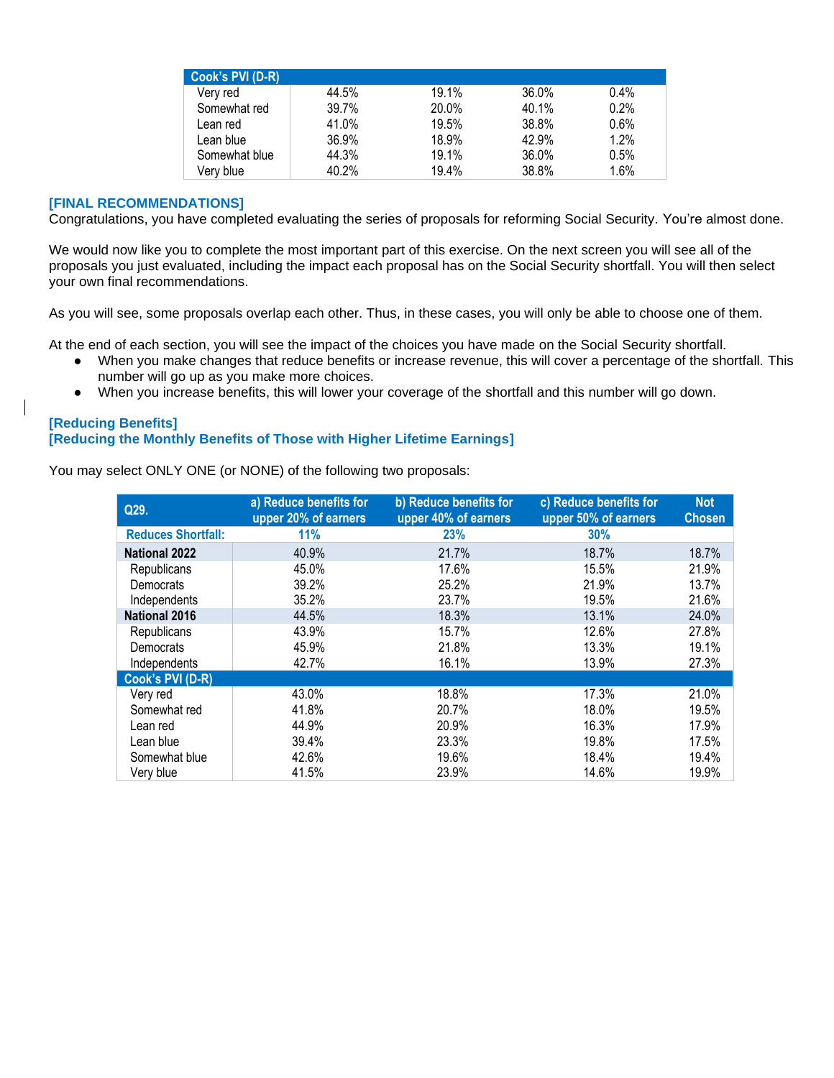| Cook's PVI (D-R) |       |       |       |      |
|------------------|-------|-------|-------|------|
| Very red         | 44.5% | 19.1% | 36.0% | 0.4% |
| Somewhat red     | 39.7% | 20.0% | 40.1% | 0.2% |
| Lean red         | 41.0% | 19.5% | 38.8% | 0.6% |
| Lean blue        | 36.9% | 18.9% | 42.9% | 1.2% |
| Somewhat blue    | 44.3% | 19.1% | 36.0% | 0.5% |
| Very blue        | 40.2% | 19.4% | 38.8% | 1.6% |

#### **[FINAL RECOMMENDATIONS]**

Congratulations, you have completed evaluating the series of proposals for reforming Social Security. You're almost done.

We would now like you to complete the most important part of this exercise. On the next screen you will see all of the proposals you just evaluated, including the impact each proposal has on the Social Security shortfall. You will then select your own final recommendations.

As you will see, some proposals overlap each other. Thus, in these cases, you will only be able to choose one of them.

At the end of each section, you will see the impact of the choices you have made on the Social Security shortfall.

- When you make changes that reduce benefits or increase revenue, this will cover a percentage of the shortfall. This number will go up as you make more choices.
- When you increase benefits, this will lower your coverage of the shortfall and this number will go down.

### **[Reducing Benefits] [Reducing the Monthly Benefits of Those with Higher Lifetime Earnings]**

You may select ONLY ONE (or NONE) of the following two proposals:

| Q29.                      | a) Reduce benefits for<br>upper 20% of earners | b) Reduce benefits for<br>upper 40% of earners | c) Reduce benefits for<br>upper 50% of earners | <b>Not</b><br><b>Chosen</b> |
|---------------------------|------------------------------------------------|------------------------------------------------|------------------------------------------------|-----------------------------|
| <b>Reduces Shortfall:</b> | 11%                                            | <b>23%</b>                                     | 30%                                            |                             |
| <b>National 2022</b>      | 40.9%                                          | 21.7%                                          | 18.7%                                          | 18.7%                       |
| Republicans               | 45.0%                                          | 17.6%                                          | 15.5%                                          | 21.9%                       |
| Democrats                 | 39.2%                                          | 25.2%                                          | 21.9%                                          | 13.7%                       |
| Independents              | 35.2%                                          | 23.7%                                          | 19.5%                                          | 21.6%                       |
| <b>National 2016</b>      | 44.5%                                          | 18.3%                                          | 13.1%                                          | 24.0%                       |
| Republicans               | 43.9%                                          | 15.7%                                          | 12.6%                                          | 27.8%                       |
| Democrats                 | 45.9%                                          | 21.8%                                          | 13.3%                                          | 19.1%                       |
| Independents              | 42.7%                                          | 16.1%                                          | 13.9%                                          | 27.3%                       |
| Cook's PVI (D-R)          |                                                |                                                |                                                |                             |
| Very red                  | 43.0%                                          | 18.8%                                          | 17.3%                                          | 21.0%                       |
| Somewhat red              | 41.8%                                          | 20.7%                                          | 18.0%                                          | 19.5%                       |
| Lean red                  | 44.9%                                          | 20.9%                                          | 16.3%                                          | 17.9%                       |
| Lean blue                 | 39.4%                                          | 23.3%                                          | 19.8%                                          | 17.5%                       |
| Somewhat blue             | 42.6%                                          | 19.6%                                          | 18.4%                                          | 19.4%                       |
| Very blue                 | 41.5%                                          | 23.9%                                          | 14.6%                                          | 19.9%                       |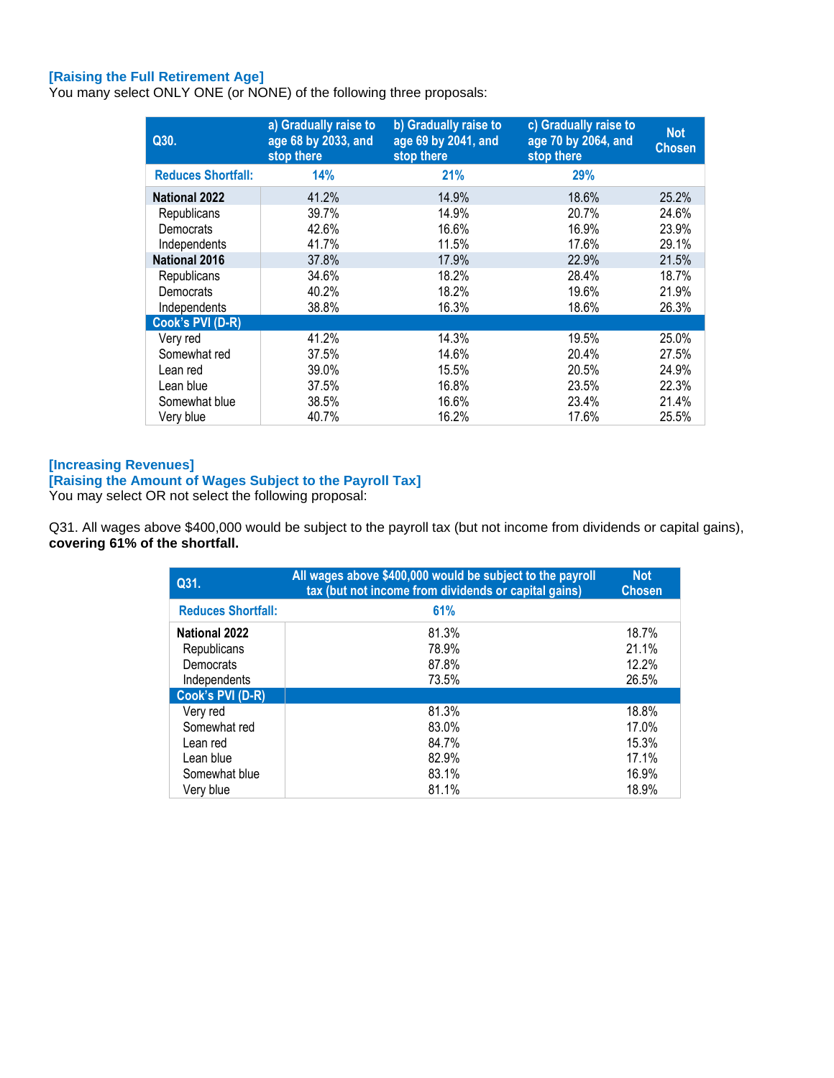## **[Raising the Full Retirement Age]**

You many select ONLY ONE (or NONE) of the following three proposals:

| Q30.                      | a) Gradually raise to<br>age 68 by 2033, and<br>stop there | b) Gradually raise to<br>age 69 by 2041, and<br>stop there | c) Gradually raise to<br>age 70 by 2064, and<br>stop there | <b>Not</b><br><b>Chosen</b> |
|---------------------------|------------------------------------------------------------|------------------------------------------------------------|------------------------------------------------------------|-----------------------------|
| <b>Reduces Shortfall:</b> | 14%                                                        | 21%                                                        | 29%                                                        |                             |
| <b>National 2022</b>      | 41.2%                                                      | 14.9%                                                      | 18.6%                                                      | 25.2%                       |
| Republicans               | 39.7%                                                      | 14.9%                                                      | 20.7%                                                      | 24.6%                       |
| Democrats                 | 42.6%                                                      | 16.6%                                                      | 16.9%                                                      | 23.9%                       |
| Independents              | 41.7%                                                      | 11.5%                                                      | 17.6%                                                      | 29.1%                       |
| <b>National 2016</b>      | 37.8%                                                      | 17.9%                                                      | 22.9%                                                      | 21.5%                       |
| Republicans               | 34.6%                                                      | 18.2%                                                      | 28.4%                                                      | 18.7%                       |
| Democrats                 | 40.2%                                                      | 18.2%                                                      | 19.6%                                                      | 21.9%                       |
| Independents              | 38.8%                                                      | 16.3%                                                      | 18.6%                                                      | 26.3%                       |
| Cook's PVI (D-R)          |                                                            |                                                            |                                                            |                             |
| Very red                  | 41.2%                                                      | 14.3%                                                      | 19.5%                                                      | 25.0%                       |
| Somewhat red              | 37.5%                                                      | 14.6%                                                      | 20.4%                                                      | 27.5%                       |
| Lean red                  | 39.0%                                                      | 15.5%                                                      | 20.5%                                                      | 24.9%                       |
| Lean blue                 | 37.5%                                                      | 16.8%                                                      | 23.5%                                                      | 22.3%                       |
| Somewhat blue             | 38.5%                                                      | 16.6%                                                      | 23.4%                                                      | 21.4%                       |
| Very blue                 | 40.7%                                                      | 16.2%                                                      | 17.6%                                                      | 25.5%                       |

#### **[Increasing Revenues]**

## **[Raising the Amount of Wages Subject to the Payroll Tax]**

You may select OR not select the following proposal:

Q31. All wages above \$400,000 would be subject to the payroll tax (but not income from dividends or capital gains), **covering 61% of the shortfall.**

| Q31.                      | All wages above \$400,000 would be subject to the payroll<br>tax (but not income from dividends or capital gains) | <b>Not</b><br><b>Chosen</b> |
|---------------------------|-------------------------------------------------------------------------------------------------------------------|-----------------------------|
| <b>Reduces Shortfall:</b> | 61%                                                                                                               |                             |
| <b>National 2022</b>      | 81.3%                                                                                                             | 18.7%                       |
| Republicans               | 78.9%                                                                                                             | 21.1%                       |
| Democrats                 | 87.8%                                                                                                             | 12.2%                       |
| Independents              | 73.5%                                                                                                             | 26.5%                       |
| Cook's PVI (D-R)          |                                                                                                                   |                             |
| Very red                  | 81.3%                                                                                                             | 18.8%                       |
| Somewhat red              | 83.0%                                                                                                             | 17.0%                       |
| Lean red                  | 84.7%                                                                                                             | 15.3%                       |
| Lean blue                 | 82.9%                                                                                                             | 17.1%                       |
| Somewhat blue             | 83.1%                                                                                                             | 16.9%                       |
| Verv blue                 | 81.1%                                                                                                             | 18.9%                       |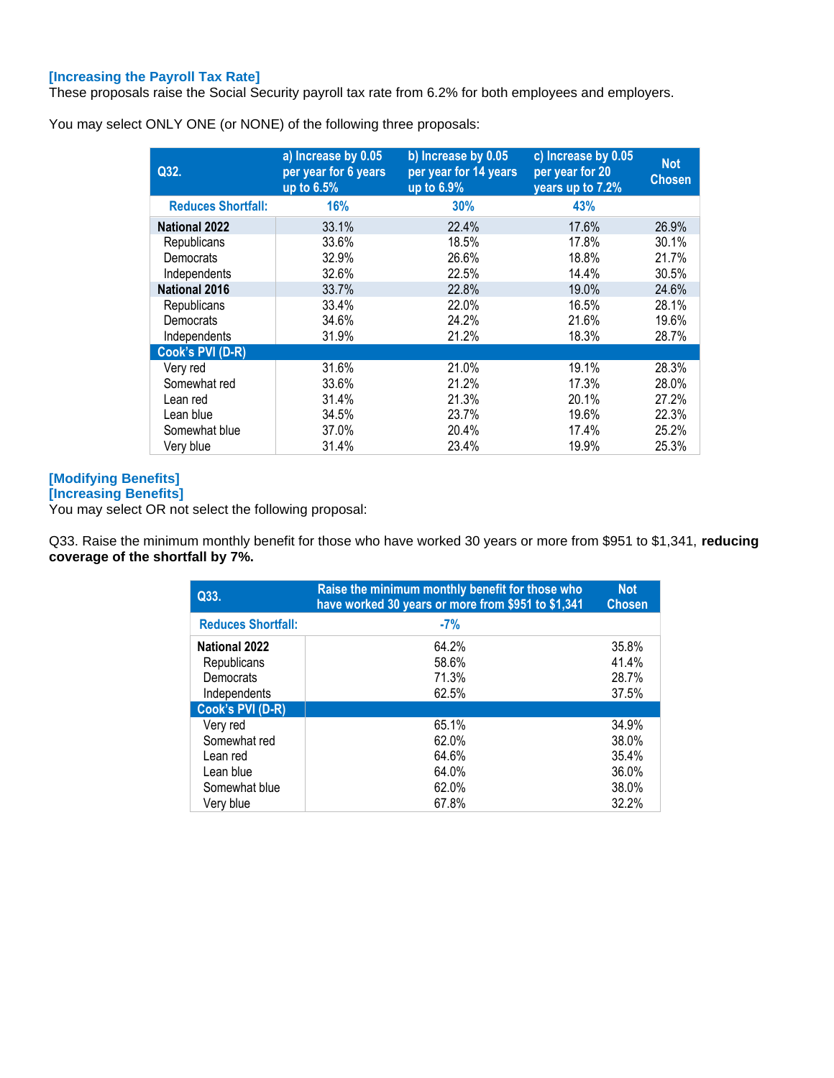## **[Increasing the Payroll Tax Rate]**

These proposals raise the Social Security payroll tax rate from 6.2% for both employees and employers.

You may select ONLY ONE (or NONE) of the following three proposals:

| Q32.                      | a) Increase by 0.05<br>per year for 6 years<br>up to 6.5% | b) Increase by 0.05<br>per year for 14 years<br>up to 6.9% | c) Increase by 0.05<br>per year for 20<br>years up to 7.2% | <b>Not</b><br><b>Chosen</b> |
|---------------------------|-----------------------------------------------------------|------------------------------------------------------------|------------------------------------------------------------|-----------------------------|
| <b>Reduces Shortfall:</b> | 16%                                                       | <b>30%</b>                                                 | 43%                                                        |                             |
| <b>National 2022</b>      | 33.1%                                                     | 22.4%                                                      | 17.6%                                                      | 26.9%                       |
| Republicans               | 33.6%                                                     | 18.5%                                                      | 17.8%                                                      | 30.1%                       |
| Democrats                 | 32.9%                                                     | 26.6%                                                      | 18.8%                                                      | 21.7%                       |
| Independents              | 32.6%                                                     | 22.5%                                                      | 14.4%                                                      | 30.5%                       |
| <b>National 2016</b>      | 33.7%                                                     | 22.8%                                                      | 19.0%                                                      | 24.6%                       |
| Republicans               | 33.4%                                                     | 22.0%                                                      | 16.5%                                                      | 28.1%                       |
| Democrats                 | 34.6%                                                     | 24.2%                                                      | 21.6%                                                      | 19.6%                       |
| Independents              | 31.9%                                                     | 21.2%                                                      | 18.3%                                                      | 28.7%                       |
| Cook's PVI (D-R)          |                                                           |                                                            |                                                            |                             |
| Very red                  | 31.6%                                                     | 21.0%                                                      | 19.1%                                                      | 28.3%                       |
| Somewhat red              | 33.6%                                                     | 21.2%                                                      | 17.3%                                                      | 28.0%                       |
| Lean red                  | 31.4%                                                     | 21.3%                                                      | 20.1%                                                      | 27.2%                       |
| Lean blue                 | 34.5%                                                     | 23.7%                                                      | 19.6%                                                      | 22.3%                       |
| Somewhat blue             | 37.0%                                                     | 20.4%                                                      | 17.4%                                                      | 25.2%                       |
| Very blue                 | 31.4%                                                     | 23.4%                                                      | 19.9%                                                      | 25.3%                       |

## **[Modifying Benefits]**

## **[Increasing Benefits]**

You may select OR not select the following proposal:

Q33. Raise the minimum monthly benefit for those who have worked 30 years or more from \$951 to \$1,341, **reducing coverage of the shortfall by 7%.**

| Q33.                      | Raise the minimum monthly benefit for those who<br>have worked 30 years or more from \$951 to \$1,341 | <b>Not</b><br><b>Chosen</b> |
|---------------------------|-------------------------------------------------------------------------------------------------------|-----------------------------|
| <b>Reduces Shortfall:</b> | $-7%$                                                                                                 |                             |
| <b>National 2022</b>      | 64.2%                                                                                                 | 35.8%                       |
| Republicans<br>Democrats  | 58.6%<br>71.3%                                                                                        | 41.4%<br>28.7%              |
| Independents              | 62.5%                                                                                                 | 37.5%                       |
| Cook's PVI (D-R)          |                                                                                                       |                             |
| Very red                  | 65.1%                                                                                                 | 34.9%                       |
| Somewhat red              | 62.0%                                                                                                 | 38.0%                       |
| Lean red                  | 64.6%                                                                                                 | 35.4%                       |
| Lean blue                 | 64.0%                                                                                                 | 36.0%                       |
| Somewhat blue             | 62.0%                                                                                                 | 38.0%                       |
| Very blue                 | 67.8%                                                                                                 | 32.2%                       |